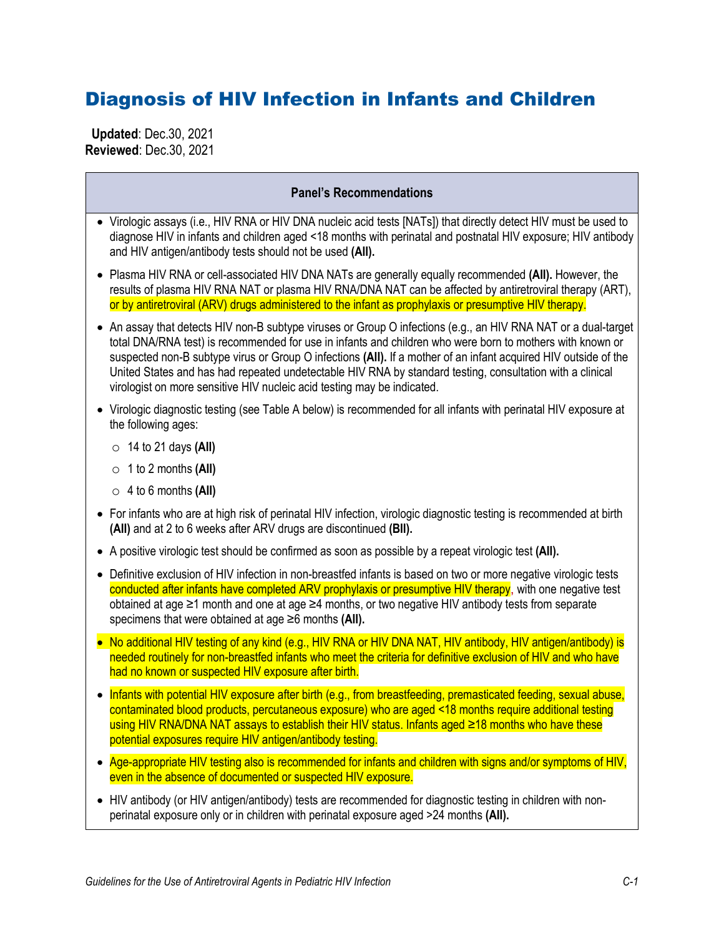# Diagnosis of HIV Infection in Infants and Children

 **Updated**: Dec.30, 2021 **Reviewed**: Dec.30, 2021

| <b>Panel's Recommendations</b> |                                                                                                                                                                                                                                                                                                                                                                                                                                                                                                                                        |  |
|--------------------------------|----------------------------------------------------------------------------------------------------------------------------------------------------------------------------------------------------------------------------------------------------------------------------------------------------------------------------------------------------------------------------------------------------------------------------------------------------------------------------------------------------------------------------------------|--|
|                                | • Virologic assays (i.e., HIV RNA or HIV DNA nucleic acid tests [NATs]) that directly detect HIV must be used to<br>diagnose HIV in infants and children aged <18 months with perinatal and postnatal HIV exposure; HIV antibody<br>and HIV antigen/antibody tests should not be used (AII).                                                                                                                                                                                                                                           |  |
|                                | • Plasma HIV RNA or cell-associated HIV DNA NATs are generally equally recommended (All). However, the<br>results of plasma HIV RNA NAT or plasma HIV RNA/DNA NAT can be affected by antiretroviral therapy (ART),<br>or by antiretroviral (ARV) drugs administered to the infant as prophylaxis or presumptive HIV therapy.                                                                                                                                                                                                           |  |
|                                | • An assay that detects HIV non-B subtype viruses or Group O infections (e.g., an HIV RNA NAT or a dual-target<br>total DNA/RNA test) is recommended for use in infants and children who were born to mothers with known or<br>suspected non-B subtype virus or Group O infections (AII). If a mother of an infant acquired HIV outside of the<br>United States and has had repeated undetectable HIV RNA by standard testing, consultation with a clinical<br>virologist on more sensitive HIV nucleic acid testing may be indicated. |  |
|                                | • Virologic diagnostic testing (see Table A below) is recommended for all infants with perinatal HIV exposure at<br>the following ages:                                                                                                                                                                                                                                                                                                                                                                                                |  |
|                                | $\circ$ 14 to 21 days (All)                                                                                                                                                                                                                                                                                                                                                                                                                                                                                                            |  |
|                                | $\circ$ 1 to 2 months (All)                                                                                                                                                                                                                                                                                                                                                                                                                                                                                                            |  |
|                                | $\circ$ 4 to 6 months (All)                                                                                                                                                                                                                                                                                                                                                                                                                                                                                                            |  |
|                                | • For infants who are at high risk of perinatal HIV infection, virologic diagnostic testing is recommended at birth<br>(All) and at 2 to 6 weeks after ARV drugs are discontinued (BII).                                                                                                                                                                                                                                                                                                                                               |  |
|                                | • A positive virologic test should be confirmed as soon as possible by a repeat virologic test (AII).                                                                                                                                                                                                                                                                                                                                                                                                                                  |  |
|                                | • Definitive exclusion of HIV infection in non-breastfed infants is based on two or more negative virologic tests<br>conducted after infants have completed ARV prophylaxis or presumptive HIV therapy, with one negative test<br>obtained at age ≥1 month and one at age ≥4 months, or two negative HIV antibody tests from separate<br>specimens that were obtained at age $\geq 6$ months (AII).                                                                                                                                    |  |
|                                | • No additional HIV testing of any kind (e.g., HIV RNA or HIV DNA NAT, HIV antibody, HIV antigen/antibody) is<br>needed routinely for non-breastfed infants who meet the criteria for definitive exclusion of HIV and who have<br>had no known or suspected HIV exposure after birth.                                                                                                                                                                                                                                                  |  |
|                                | Infants with potential HIV exposure after birth (e.g., from breastfeeding, premasticated feeding, sexual abuse,<br>contaminated blood products, percutaneous exposure) who are aged <18 months require additional testing<br>using HIV RNA/DNA NAT assays to establish their HIV status. Infants aged ≥18 months who have these<br>potential exposures require HIV antigen/antibody testing.                                                                                                                                           |  |
| $\bullet$                      | Age-appropriate HIV testing also is recommended for infants and children with signs and/or symptoms of HIV,<br>even in the absence of documented or suspected HIV exposure.                                                                                                                                                                                                                                                                                                                                                            |  |

• HIV antibody (or HIV antigen/antibody) tests are recommended for diagnostic testing in children with nonperinatal exposure only or in children with perinatal exposure aged >24 months **(AII).**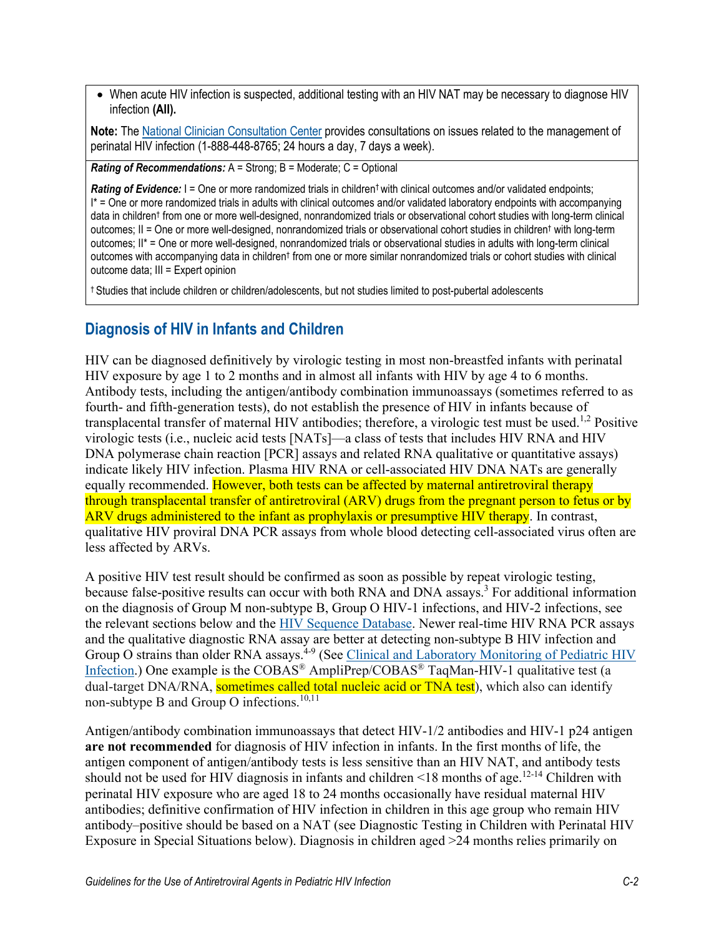• When acute HIV infection is suspected, additional testing with an HIV NAT may be necessary to diagnose HIV infection **(AII).**

**Note:** The National Clinician [Consultation Center](http://nccc.ucsf.edu/clinician-consultation/perinatal-hiv-aids/) provides consultations on issues related to the management of perinatal HIV infection (1-888-448-8765; 24 hours a day, 7 days a week).

*Rating of Recommendations:* A = Strong; B = Moderate; C = Optional

Rating of Evidence: I = One or more randomized trials in children<sup>†</sup> with clinical outcomes and/or validated endpoints; I\* = One or more randomized trials in adults with clinical outcomes and/or validated laboratory endpoints with accompanying data in children† from one or more well-designed, nonrandomized trials or observational cohort studies with long-term clinical outcomes; II = One or more well-designed, nonrandomized trials or observational cohort studies in children† with long-term outcomes; II\* = One or more well-designed, nonrandomized trials or observational studies in adults with long-term clinical outcomes with accompanying data in children† from one or more similar nonrandomized trials or cohort studies with clinical outcome data; III = Expert opinion

† Studies that include children or children/adolescents, but not studies limited to post-pubertal adolescents

#### **Diagnosis of HIV in Infants and Children**

HIV can be diagnosed definitively by virologic testing in most non-breastfed infants with perinatal HIV exposure by age 1 to 2 months and in almost all infants with HIV by age 4 to 6 months. Antibody tests, including the antigen/antibody combination immunoassays (sometimes referred to as fourth- and fifth-generation tests), do not establish the presence of HIV in infants because of transplacental transfer of maternal HIV antibodies; therefore, a virologic test must be used.<sup>1,2</sup> Positive virologic tests (i.e., nucleic acid tests [NATs]—a class of tests that includes HIV RNA and HIV DNA polymerase chain reaction [PCR] assays and related RNA qualitative or quantitative assays) indicate likely HIV infection. Plasma HIV RNA or cell-associated HIV DNA NATs are generally equally recommended. However, both tests can be affected by maternal antiretroviral therapy through transplacental transfer of antiretroviral (ARV) drugs from the pregnant person to fetus or by ARV drugs administered to the infant as prophylaxis or presumptive HIV therapy. In contrast, qualitative HIV proviral DNA PCR assays from whole blood detecting cell-associated virus often are less affected by ARVs.

A positive HIV test result should be confirmed as soon as possible by repeat virologic testing, because false-positive results can occur with both RNA and DNA assays.<sup>3</sup> For additional information on the diagnosis of Group M non-subtype B, Group O HIV-1 infections, and HIV-2 infections, see the relevant sections below and the [HIV Sequence Database.](http://www.hiv.lanl.gov/components/sequence/HIV/geo/geo.comp) Newer real-time HIV RNA PCR assays and the qualitative diagnostic RNA assay are better at detecting non-subtype B HIV infection and Group O strains than older RNA assays.<sup>4-9</sup> (See *Clinical and Laboratory Monitoring of Pediatric HIV* [Infection.](https://clinicalinfo.hiv.gov/en/guidelines/pediatric-arv/clinical-and-laboratory-monitoring-pediatric-hiv-infection)) One example is the COBAS<sup>®</sup> AmpliPrep/COBAS<sup>®</sup> TaqMan-HIV-1 qualitative test (a dual-target DNA/RNA, sometimes called total nucleic acid or TNA test), which also can identify non-subtype B and Group O infections.<sup>10,11</sup>

Antigen/antibody combination immunoassays that detect HIV-1/2 antibodies and HIV-1 p24 antigen **are not recommended** for diagnosis of HIV infection in infants. In the first months of life, the antigen component of antigen/antibody tests is less sensitive than an HIV NAT, and antibody tests should not be used for HIV diagnosis in infants and children <18 months of age.<sup>12-14</sup> Children with perinatal HIV exposure who are aged 18 to 24 months occasionally have residual maternal HIV antibodies; definitive confirmation of HIV infection in children in this age group who remain HIV antibody–positive should be based on a NAT (see Diagnostic Testing in Children with Perinatal HIV Exposure in Special Situations below). Diagnosis in children aged >24 months relies primarily on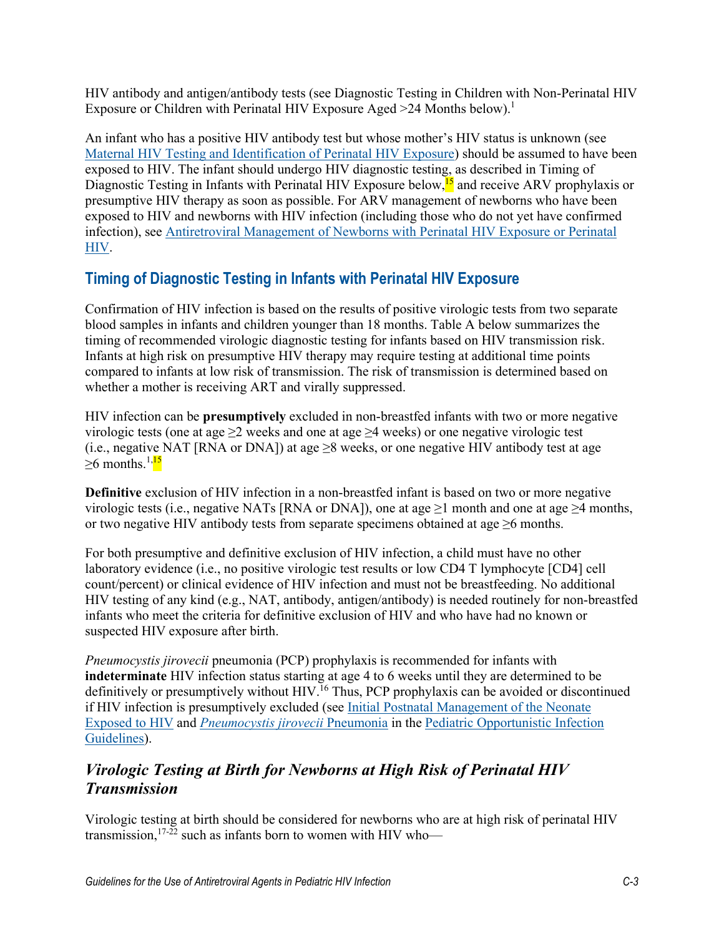HIV antibody and antigen/antibody tests (see Diagnostic Testing in Children with Non-Perinatal HIV Exposure or Children with Perinatal HIV Exposure Aged  $\geq$  24 Months below).<sup>1</sup>

An infant who has a positive HIV antibody test but whose mother's HIV status is unknown (see [Maternal HIV Testing and Identification of Perinatal HIV Exposure\)](https://clinicalinfo.hiv.gov/en/guidelines/perinatal/maternal-hiv-testing-and-identification-perinatal-hiv-exposure) should be assumed to have been exposed to HIV. The infant should undergo HIV diagnostic testing, as described in Timing of Diagnostic Testing in Infants with Perinatal HIV Exposure below, <sup>15</sup> and receive ARV prophylaxis or presumptive HIV therapy as soon as possible. For ARV management of newborns who have been exposed to HIV and newborns with HIV infection (including those who do not yet have confirmed infection), see [Antiretroviral Management of Newborns with Perinatal HIV Exposure or Perinatal](https://clinicalinfo.hiv.gov/en/guidelines/pediatric-arv/antiretroviral-management-newborns-perinatal-hiv-exposure-or-hiv-infection)  [HIV.](https://clinicalinfo.hiv.gov/en/guidelines/pediatric-arv/antiretroviral-management-newborns-perinatal-hiv-exposure-or-hiv-infection)

# **Timing of Diagnostic Testing in Infants with Perinatal HIV Exposure**

Confirmation of HIV infection is based on the results of positive virologic tests from two separate blood samples in infants and children younger than 18 months. Table A below summarizes the timing of recommended virologic diagnostic testing for infants based on HIV transmission risk. Infants at high risk on presumptive HIV therapy may require testing at additional time points compared to infants at low risk of transmission. The risk of transmission is determined based on whether a mother is receiving ART and virally suppressed.

HIV infection can be **presumptively** excluded in non-breastfed infants with two or more negative virologic tests (one at age  $\geq 2$  weeks and one at age  $\geq 4$  weeks) or one negative virologic test (i.e., negative NAT [RNA or DNA]) at age  $\geq 8$  weeks, or one negative HIV antibody test at age  $\geq$ 6 months.<sup>1,15</sup>

**Definitive** exclusion of HIV infection in a non-breastfed infant is based on two or more negative virologic tests (i.e., negative NATs [RNA or DNA]), one at age  $\geq$ 1 month and one at age  $\geq$ 4 months, or two negative HIV antibody tests from separate specimens obtained at age  $\geq 6$  months.

For both presumptive and definitive exclusion of HIV infection, a child must have no other laboratory evidence (i.e., no positive virologic test results or low CD4 T lymphocyte [CD4] cell count/percent) or clinical evidence of HIV infection and must not be breastfeeding. No additional HIV testing of any kind (e.g., NAT, antibody, antigen/antibody) is needed routinely for non-breastfed infants who meet the criteria for definitive exclusion of HIV and who have had no known or suspected HIV exposure after birth.

*Pneumocystis jirovecii* pneumonia (PCP) prophylaxis is recommended for infants with **indeterminate** HIV infection status starting at age 4 to 6 weeks until they are determined to be definitively or presumptively without HIV.<sup>16</sup> Thus, PCP prophylaxis can be avoided or discontinued if HIV infection is presumptively excluded (see Initial Postnatal Management of the Neonate [Exposed to HIV](https://clinicalinfo.hiv.gov/en/guidelines/perinatal/initial-postnatal-management-neonate-exposed-hiv?view=full) and *[Pneumocystis jirovecii](https://clinicalinfo.hiv.gov/en/guidelines/pediatric-opportunistic-infection/pneumocystis-jirovecii-pneumonia?view=full)* Pneumonia in the [Pediatric Opportunistic Infection](https://clinicalinfo.hiv.gov/en/guidelines/pediatric-opportunistic-infection/whats-new?view=full)  [Guidelines\)](https://clinicalinfo.hiv.gov/en/guidelines/pediatric-opportunistic-infection/whats-new?view=full).

#### *Virologic Testing at Birth for Newborns at High Risk of Perinatal HIV Transmission*

Virologic testing at birth should be considered for newborns who are at high risk of perinatal HIV transmission,<sup>17-22</sup> such as infants born to women with HIV who—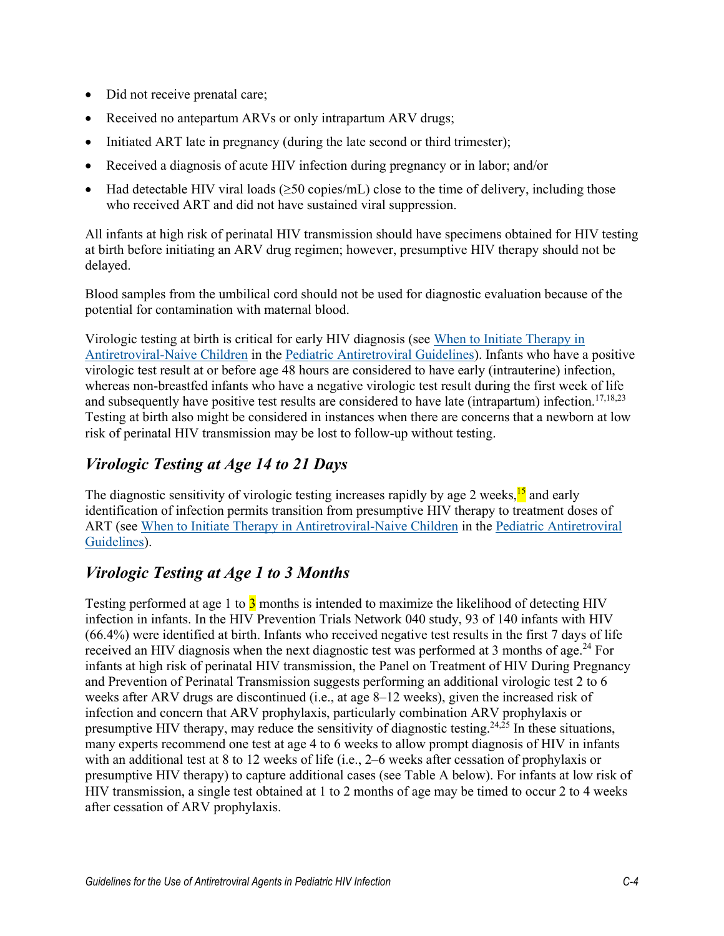- Did not receive prenatal care;
- Received no antepartum ARVs or only intrapartum ARV drugs;
- Initiated ART late in pregnancy (during the late second or third trimester);
- Received a diagnosis of acute HIV infection during pregnancy or in labor; and/or
- Had detectable HIV viral loads ( $\geq$ 50 copies/mL) close to the time of delivery, including those who received ART and did not have sustained viral suppression.

All infants at high risk of perinatal HIV transmission should have specimens obtained for HIV testing at birth before initiating an ARV drug regimen; however, presumptive HIV therapy should not be delayed.

Blood samples from the umbilical cord should not be used for diagnostic evaluation because of the potential for contamination with maternal blood.

Virologic testing at birth is critical for early HIV diagnosis (see [When to Initiate Therapy in](https://clinicalinfo.hiv.gov/en/guidelines/pediatric-arv/when-initiate-therapy-antiretroviral-naive-children)  [Antiretroviral-Naive Children](https://clinicalinfo.hiv.gov/en/guidelines/pediatric-arv/when-initiate-therapy-antiretroviral-naive-children) in the Pediatric [Antiretroviral](https://clinicalinfo.hiv.gov/en/guidelines/pediatric-arv/whats-new-guidelines) Guidelines). Infants who have a positive virologic test result at or before age 48 hours are considered to have early (intrauterine) infection, whereas non-breastfed infants who have a negative virologic test result during the first week of life and subsequently have positive test results are considered to have late (intrapartum) infection.<sup>17,18,23</sup> Testing at birth also might be considered in instances when there are concerns that a newborn at low risk of perinatal HIV transmission may be lost to follow-up without testing.

# *Virologic Testing at Age 14 to 21 Days*

The diagnostic sensitivity of virologic testing increases rapidly by age 2 weeks, <sup>15</sup> and early identification of infection permits transition from presumptive HIV therapy to treatment doses of ART (see [When to Initiate Therapy in Antiretroviral-Naive Children](https://clinicalinfo.hiv.gov/en/guidelines/pediatric-arv/when-initiate-therapy-antiretroviral-naive-children) in the [Pediatric Antiretroviral](https://clinicalinfo.hiv.gov/en/guidelines/pediatric-arv/whats-new-guidelines)  [Guidelines\)](https://clinicalinfo.hiv.gov/en/guidelines/pediatric-arv/whats-new-guidelines).

#### *Virologic Testing at Age 1 to 3 Months*

Testing performed at age 1 to  $\overline{3}$  months is intended to maximize the likelihood of detecting HIV infection in infants. In the HIV Prevention Trials Network 040 study, 93 of 140 infants with HIV (66.4%) were identified at birth. Infants who received negative test results in the first 7 days of life received an HIV diagnosis when the next diagnostic test was performed at 3 months of age.<sup>24</sup> For infants at high risk of perinatal HIV transmission, the Panel on Treatment of HIV During Pregnancy and Prevention of Perinatal Transmission suggests performing an additional virologic test 2 to 6 weeks after ARV drugs are discontinued (i.e., at age 8–12 weeks), given the increased risk of infection and concern that ARV prophylaxis, particularly combination ARV prophylaxis or presumptive HIV therapy, may reduce the sensitivity of diagnostic testing.<sup>24, $\bar{2}$ 5 In these situations,</sup> many experts recommend one test at age 4 to 6 weeks to allow prompt diagnosis of HIV in infants with an additional test at 8 to 12 weeks of life (i.e., 2–6 weeks after cessation of prophylaxis or presumptive HIV therapy) to capture additional cases (see Table A below). For infants at low risk of HIV transmission, a single test obtained at 1 to 2 months of age may be timed to occur 2 to 4 weeks after cessation of ARV prophylaxis.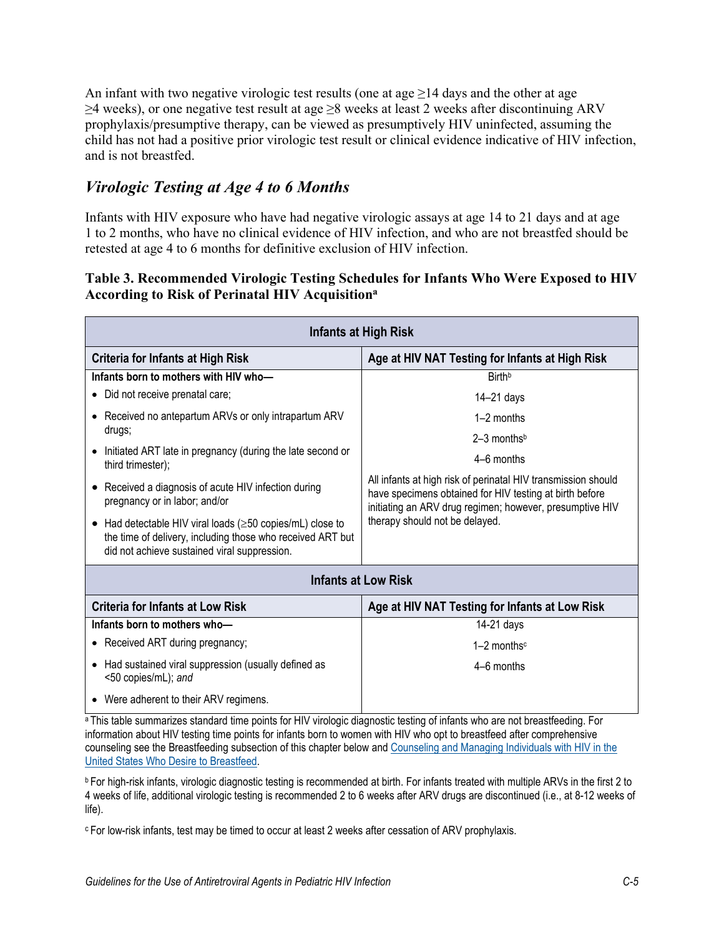An infant with two negative virologic test results (one at age  $\geq$  14 days and the other at age  $\geq$ 4 weeks), or one negative test result at age  $\geq$ 8 weeks at least 2 weeks after discontinuing ARV prophylaxis/presumptive therapy, can be viewed as presumptively HIV uninfected, assuming the child has not had a positive prior virologic test result or clinical evidence indicative of HIV infection, and is not breastfed.

#### *Virologic Testing at Age 4 to 6 Months*

Infants with HIV exposure who have had negative virologic assays at age 14 to 21 days and at age 1 to 2 months, who have no clinical evidence of HIV infection, and who are not breastfed should be retested at age 4 to 6 months for definitive exclusion of HIV infection.

#### **Table 3. Recommended Virologic Testing Schedules for Infants Who Were Exposed to HIV According to Risk of Perinatal HIV Acquisitiona**

| <b>Infants at High Risk</b>                                                                                                                                                       |                                                                                                                                                                                      |  |  |
|-----------------------------------------------------------------------------------------------------------------------------------------------------------------------------------|--------------------------------------------------------------------------------------------------------------------------------------------------------------------------------------|--|--|
| <b>Criteria for Infants at High Risk</b>                                                                                                                                          | Age at HIV NAT Testing for Infants at High Risk                                                                                                                                      |  |  |
| Infants born to mothers with HIV who-                                                                                                                                             | <b>Birth</b> <sup>b</sup>                                                                                                                                                            |  |  |
| Did not receive prenatal care;                                                                                                                                                    | $14 - 21$ days                                                                                                                                                                       |  |  |
| Received no antepartum ARVs or only intrapartum ARV<br>drugs;                                                                                                                     | $1-2$ months                                                                                                                                                                         |  |  |
|                                                                                                                                                                                   | $2-3$ months <sup>b</sup>                                                                                                                                                            |  |  |
| Initiated ART late in pregnancy (during the late second or<br>third trimester);                                                                                                   | $4-6$ months                                                                                                                                                                         |  |  |
| Received a diagnosis of acute HIV infection during<br>pregnancy or in labor; and/or                                                                                               | All infants at high risk of perinatal HIV transmission should<br>have specimens obtained for HIV testing at birth before<br>initiating an ARV drug regimen; however, presumptive HIV |  |  |
| Had detectable HIV viral loads ( $\geq$ 50 copies/mL) close to<br>٠<br>the time of delivery, including those who received ART but<br>did not achieve sustained viral suppression. | therapy should not be delayed.                                                                                                                                                       |  |  |
| <b>Infants at Low Risk</b>                                                                                                                                                        |                                                                                                                                                                                      |  |  |
| <b>Criteria for Infants at Low Risk</b>                                                                                                                                           | Age at HIV NAT Testing for Infants at Low Risk                                                                                                                                       |  |  |
| Infants born to mothers who-                                                                                                                                                      | $14-21$ days                                                                                                                                                                         |  |  |
| Received ART during pregnancy;                                                                                                                                                    | $1-2$ months <sup>c</sup>                                                                                                                                                            |  |  |
| Had sustained viral suppression (usually defined as<br><50 copies/mL); and                                                                                                        | $4-6$ months                                                                                                                                                                         |  |  |
| Were adherent to their ARV regimens.                                                                                                                                              |                                                                                                                                                                                      |  |  |

a This table summarizes standard time points for HIV virologic diagnostic testing of infants who are not breastfeeding. For information about HIV testing time points for infants born to women with HIV who opt to breastfeed after comprehensive counseling see the Breastfeeding subsection of this chapter below an[d Counseling and Managing Individuals](https://clinicalinfo.hiv.gov/en/guidelines/perinatal/counseling-and-managing-women-living-hiv-united-states-who-desire-breastfeed) with HIV in the [United States Who Desire to Breastfeed.](https://clinicalinfo.hiv.gov/en/guidelines/perinatal/counseling-and-managing-women-living-hiv-united-states-who-desire-breastfeed)

**b** For high-risk infants, virologic diagnostic testing is recommended at birth. For infants treated with multiple ARVs in the first 2 to 4 weeks of life, additional virologic testing is recommended 2 to 6 weeks after ARV drugs are discontinued (i.e., at 8-12 weeks of life).

c For low-risk infants, test may be timed to occur at least 2 weeks after cessation of ARV prophylaxis.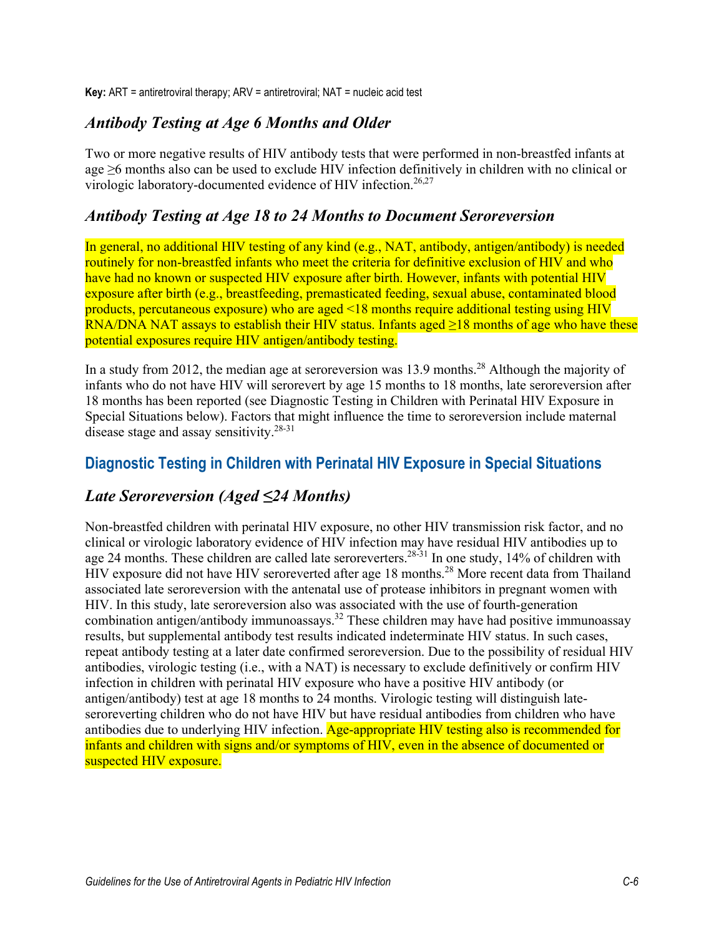**Key:** ART = antiretroviral therapy; ARV = antiretroviral; NAT = nucleic acid test

#### *Antibody Testing at Age 6 Months and Older*

Two or more negative results of HIV antibody tests that were performed in non-breastfed infants at age ≥6 months also can be used to exclude HIV infection definitively in children with no clinical or virologic laboratory-documented evidence of HIV infection.<sup>26,27</sup>

#### *Antibody Testing at Age 18 to 24 Months to Document Seroreversion*

In general, no additional HIV testing of any kind (e.g., NAT, antibody, antigen/antibody) is needed routinely for non-breastfed infants who meet the criteria for definitive exclusion of HIV and who have had no known or suspected HIV exposure after birth. However, infants with potential HIV exposure after birth (e.g., breastfeeding, premasticated feeding, sexual abuse, contaminated blood products, percutaneous exposure) who are aged <18 months require additional testing using HIV RNA/DNA NAT assays to establish their HIV status. Infants aged ≥18 months of age who have these potential exposures require HIV antigen/antibody testing.

In a study from 2012, the median age at seroreversion was 13.9 months.<sup>28</sup> Although the majority of infants who do not have HIV will serorevert by age 15 months to 18 months, late seroreversion after 18 months has been reported (see Diagnostic Testing in Children with Perinatal HIV Exposure in Special Situations below). Factors that might influence the time to seroreversion include maternal disease stage and assay sensitivity.<sup>28-31</sup>

#### **Diagnostic Testing in Children with Perinatal HIV Exposure in Special Situations**

#### *Late Seroreversion (Aged ≤24 Months)*

Non-breastfed children with perinatal HIV exposure, no other HIV transmission risk factor, and no clinical or virologic laboratory evidence of HIV infection may have residual HIV antibodies up to age 24 months. These children are called late seroreverters.<sup>28-31</sup> In one study, 14% of children with HIV exposure did not have HIV seroreverted after age 18 months.<sup>28</sup> More recent data from Thailand associated late seroreversion with the antenatal use of protease inhibitors in pregnant women with HIV. In this study, late seroreversion also was associated with the use of fourth-generation combination antigen/antibody immunoassays.<sup>32</sup> These children may have had positive immunoassay results, but supplemental antibody test results indicated indeterminate HIV status. In such cases, repeat antibody testing at a later date confirmed seroreversion. Due to the possibility of residual HIV antibodies, virologic testing (i.e., with a NAT) is necessary to exclude definitively or confirm HIV infection in children with perinatal HIV exposure who have a positive HIV antibody (or antigen/antibody) test at age 18 months to 24 months. Virologic testing will distinguish lateseroreverting children who do not have HIV but have residual antibodies from children who have antibodies due to underlying HIV infection. Age-appropriate HIV testing also is recommended for infants and children with signs and/or symptoms of HIV, even in the absence of documented or suspected HIV exposure.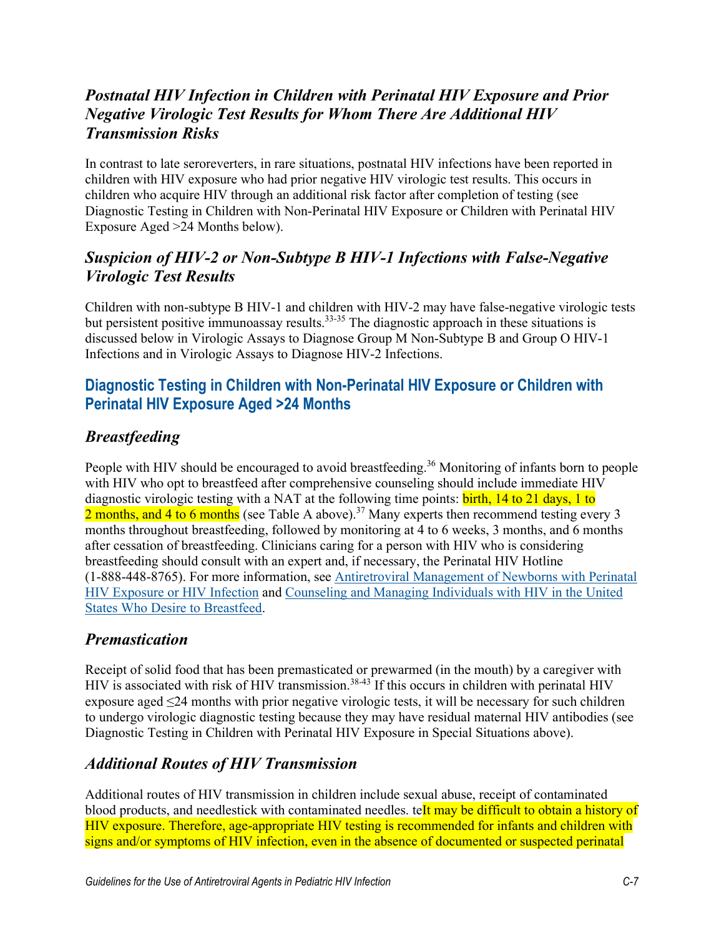# *Postnatal HIV Infection in Children with Perinatal HIV Exposure and Prior Negative Virologic Test Results for Whom There Are Additional HIV Transmission Risks*

In contrast to late seroreverters, in rare situations, postnatal HIV infections have been reported in children with HIV exposure who had prior negative HIV virologic test results. This occurs in children who acquire HIV through an additional risk factor after completion of testing (see Diagnostic Testing in Children with Non-Perinatal HIV Exposure or Children with Perinatal HIV Exposure Aged >24 Months below).

## *Suspicion of HIV-2 or Non-Subtype B HIV-1 Infections with False-Negative Virologic Test Results*

Children with non-subtype B HIV-1 and children with HIV-2 may have false-negative virologic tests but persistent positive immunoassay results.<sup>33-35</sup> The diagnostic approach in these situations is discussed below in Virologic Assays to Diagnose Group M Non-Subtype B and Group O HIV-1 Infections and in Virologic Assays to Diagnose HIV-2 Infections.

## **Diagnostic Testing in Children with Non-Perinatal HIV Exposure or Children with Perinatal HIV Exposure Aged >24 Months**

# *Breastfeeding*

People with HIV should be encouraged to avoid breastfeeding.<sup>36</sup> Monitoring of infants born to people with HIV who opt to breastfeed after comprehensive counseling should include immediate HIV diagnostic virologic testing with a NAT at the following time points: birth, 14 to 21 days, 1 to 2 months, and 4 to 6 months (see Table A above).<sup>37</sup> Many experts then recommend testing every 3 months throughout breastfeeding, followed by monitoring at 4 to 6 weeks, 3 months, and 6 months after cessation of breastfeeding. Clinicians caring for a person with HIV who is considering breastfeeding should consult with an expert and, if necessary, the Perinatal HIV Hotline (1-888-448-8765). For more information, see [Antiretroviral Management of Newborns with Perinatal](https://clinicalinfo.hiv.gov/en/guidelines/pediatric-arv/antiretroviral-management-newborns-perinatal-hiv-exposure-or-hiv-infection)  HIV Exposure [or HIV Infection](https://clinicalinfo.hiv.gov/en/guidelines/pediatric-arv/antiretroviral-management-newborns-perinatal-hiv-exposure-or-hiv-infection) and [Counseling and Managing Individuals](https://clinicalinfo.hiv.gov/en/guidelines/perinatal/counseling-and-managing-women-living-hiv-united-states-who-desire-breastfeed) with HIV in the United [States Who Desire to Breastfeed.](https://clinicalinfo.hiv.gov/en/guidelines/perinatal/counseling-and-managing-women-living-hiv-united-states-who-desire-breastfeed)

#### *Premastication*

Receipt of solid food that has been premasticated or prewarmed (in the mouth) by a caregiver with HIV is associated with risk of HIV transmission.<sup>38-43</sup> If this occurs in children with perinatal HIV exposure aged ≤24 months with prior negative virologic tests, it will be necessary for such children to undergo virologic diagnostic testing because they may have residual maternal HIV antibodies (see Diagnostic Testing in Children with Perinatal HIV Exposure in Special Situations above).

# *Additional Routes of HIV Transmission*

Additional routes of HIV transmission in children include sexual abuse, receipt of contaminated blood products, and needlestick with contaminated needles. teIt may be difficult to obtain a history of HIV exposure. Therefore, age-appropriate HIV testing is recommended for infants and children with signs and/or symptoms of HIV infection, even in the absence of documented or suspected perinatal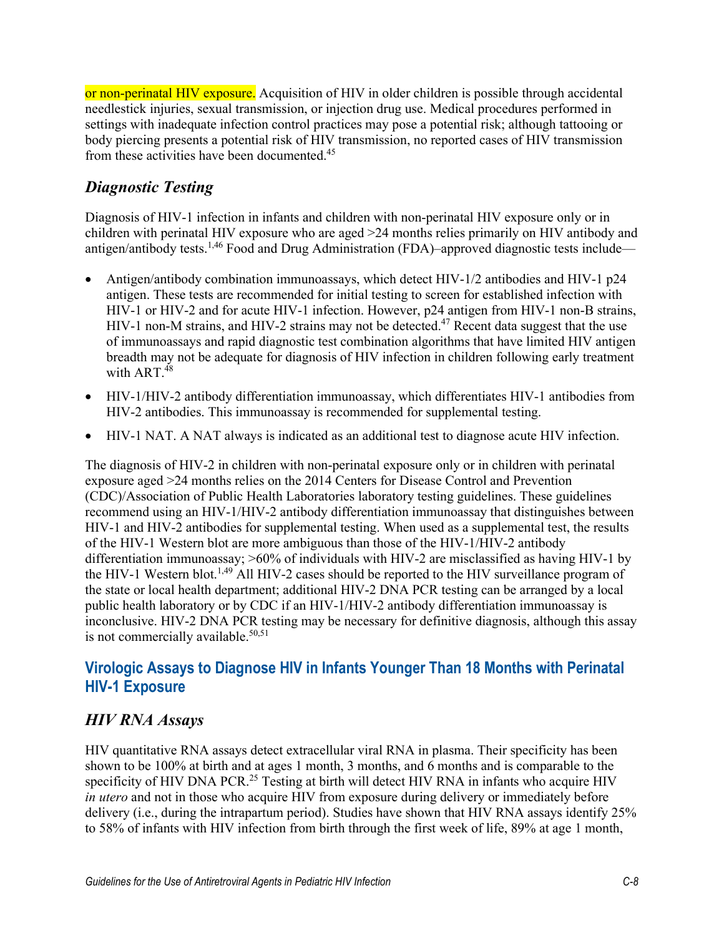or non-perinatal HIV exposure. Acquisition of HIV in older children is possible through accidental needlestick injuries, sexual transmission, or injection drug use. Medical procedures performed in settings with inadequate infection control practices may pose a potential risk; although tattooing or body piercing presents a potential risk of HIV transmission, no reported cases of HIV transmission from these activities have been documented.<sup>45</sup>

# *Diagnostic Testing*

Diagnosis of HIV-1 infection in infants and children with non-perinatal HIV exposure only or in children with perinatal HIV exposure who are aged >24 months relies primarily on HIV antibody and antigen/antibody tests.<sup>1,46</sup> Food and Drug Administration (FDA)–approved diagnostic tests include—

- Antigen/antibody combination immunoassays, which detect HIV-1/2 antibodies and HIV-1 p24 antigen. These tests are recommended for initial testing to screen for established infection with HIV-1 or HIV-2 and for acute HIV-1 infection. However, p24 antigen from HIV-1 non-B strains, HIV-1 non-M strains, and HIV-2 strains may not be detected.<sup>47</sup> Recent data suggest that the use of immunoassays and rapid diagnostic test combination algorithms that have limited HIV antigen breadth may not be adequate for diagnosis of HIV infection in children following early treatment with  $ART^{48}$
- HIV-1/HIV-2 antibody differentiation immunoassay, which differentiates HIV-1 antibodies from HIV-2 antibodies. This immunoassay is recommended for supplemental testing.
- HIV-1 NAT. A NAT always is indicated as an additional test to diagnose acute HIV infection.

The diagnosis of HIV-2 in children with non-perinatal exposure only or in children with perinatal exposure aged >24 months relies on the 2014 Centers for Disease Control and Prevention (CDC)/Association of Public Health Laboratories laboratory testing guidelines. These guidelines recommend using an HIV-1/HIV-2 antibody differentiation immunoassay that distinguishes between HIV-1 and HIV-2 antibodies for supplemental testing. When used as a supplemental test, the results of the HIV-1 Western blot are more ambiguous than those of the HIV-1/HIV-2 antibody differentiation immunoassay; >60% of individuals with HIV-2 are misclassified as having HIV-1 by the HIV-1 Western blot.<sup>1,49</sup> All HIV-2 cases should be reported to the HIV surveillance program of the state or local health department; additional HIV-2 DNA PCR testing can be arranged by a local public health laboratory or by CDC if an HIV-1/HIV-2 antibody differentiation immunoassay is inconclusive. HIV-2 DNA PCR testing may be necessary for definitive diagnosis, although this assay is not commercially available. $50,51$ 

#### **Virologic Assays to Diagnose HIV in Infants Younger Than 18 Months with Perinatal HIV-1 Exposure**

#### *HIV RNA Assays*

HIV quantitative RNA assays detect extracellular viral RNA in plasma. Their specificity has been shown to be 100% at birth and at ages 1 month, 3 months, and 6 months and is comparable to the specificity of HIV DNA PCR<sup>25</sup> Testing at birth will detect HIV RNA in infants who acquire HIV *in utero* and not in those who acquire HIV from exposure during delivery or immediately before delivery (i.e., during the intrapartum period). Studies have shown that HIV RNA assays identify 25% to 58% of infants with HIV infection from birth through the first week of life, 89% at age 1 month,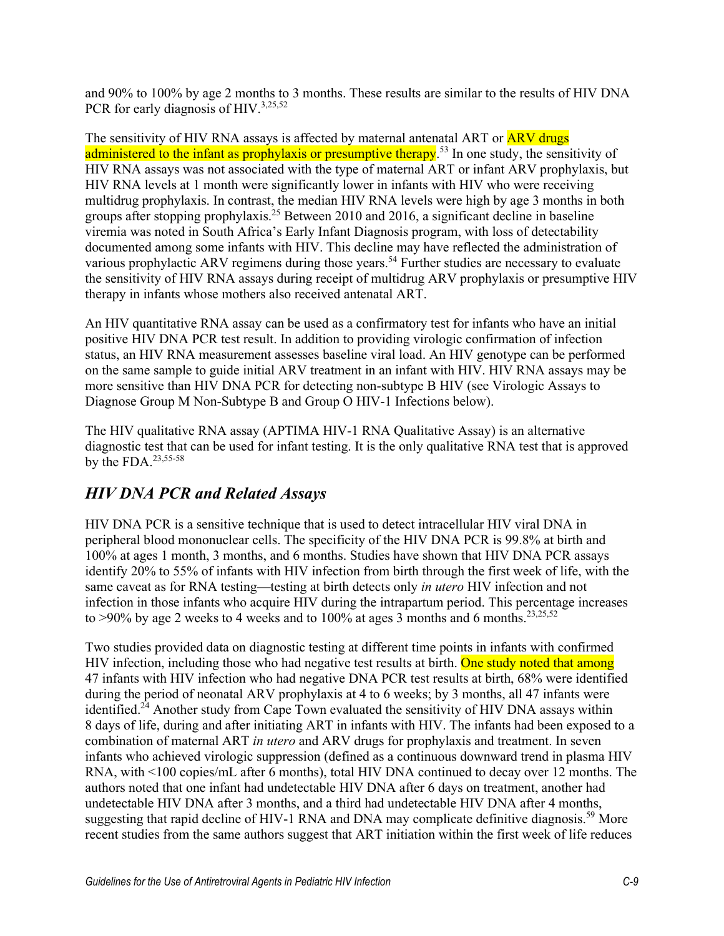and 90% to 100% by age 2 months to 3 months. These results are similar to the results of HIV DNA PCR for early diagnosis of HIV.<sup>3,25,52</sup>

The sensitivity of HIV RNA assays is affected by maternal antenatal ART or **ARV drugs** administered to the infant as prophylaxis or presumptive therapy.<sup>53</sup> In one study, the sensitivity of HIV RNA assays was not associated with the type of maternal ART or infant ARV prophylaxis, but HIV RNA levels at 1 month were significantly lower in infants with HIV who were receiving multidrug prophylaxis. In contrast, the median HIV RNA levels were high by age 3 months in both groups after stopping prophylaxis.<sup>25</sup> Between 2010 and 2016, a significant decline in baseline viremia was noted in South Africa's Early Infant Diagnosis program, with loss of detectability documented among some infants with HIV. This decline may have reflected the administration of various prophylactic ARV regimens during those years.<sup>54</sup> Further studies are necessary to evaluate the sensitivity of HIV RNA assays during receipt of multidrug ARV prophylaxis or presumptive HIV therapy in infants whose mothers also received antenatal ART.

An HIV quantitative RNA assay can be used as a confirmatory test for infants who have an initial positive HIV DNA PCR test result. In addition to providing virologic confirmation of infection status, an HIV RNA measurement assesses baseline viral load. An HIV genotype can be performed on the same sample to guide initial ARV treatment in an infant with HIV. HIV RNA assays may be more sensitive than HIV DNA PCR for detecting non-subtype B HIV (see Virologic Assays to Diagnose Group M Non-Subtype B and Group O HIV-1 Infections below).

The HIV qualitative RNA assay (APTIMA HIV-1 RNA Qualitative Assay) is an alternative diagnostic test that can be used for infant testing. It is the only qualitative RNA test that is approved by the FDA. $23,55-58$ 

# *HIV DNA PCR and Related Assays*

HIV DNA PCR is a sensitive technique that is used to detect intracellular HIV viral DNA in peripheral blood mononuclear cells. The specificity of the HIV DNA PCR is 99.8% at birth and 100% at ages 1 month, 3 months, and 6 months. Studies have shown that HIV DNA PCR assays identify 20% to 55% of infants with HIV infection from birth through the first week of life, with the same caveat as for RNA testing—testing at birth detects only *in utero* HIV infection and not infection in those infants who acquire HIV during the intrapartum period. This percentage increases to >90% by age 2 weeks to 4 weeks and to 100% at ages 3 months and 6 months.<sup>23,25,52</sup>

Two studies provided data on diagnostic testing at different time points in infants with confirmed HIV infection, including those who had negative test results at birth. One study noted that among 47 infants with HIV infection who had negative DNA PCR test results at birth, 68% were identified during the period of neonatal ARV prophylaxis at 4 to 6 weeks; by 3 months, all 47 infants were identified.<sup> $24$ </sup> Another study from Cape Town evaluated the sensitivity of HIV DNA assays within 8 days of life, during and after initiating ART in infants with HIV. The infants had been exposed to a combination of maternal ART *in utero* and ARV drugs for prophylaxis and treatment. In seven infants who achieved virologic suppression (defined as a continuous downward trend in plasma HIV RNA, with <100 copies/mL after 6 months), total HIV DNA continued to decay over 12 months. The authors noted that one infant had undetectable HIV DNA after 6 days on treatment, another had undetectable HIV DNA after 3 months, and a third had undetectable HIV DNA after 4 months, suggesting that rapid decline of HIV-1 RNA and DNA may complicate definitive diagnosis.<sup>59</sup> More recent studies from the same authors suggest that ART initiation within the first week of life reduces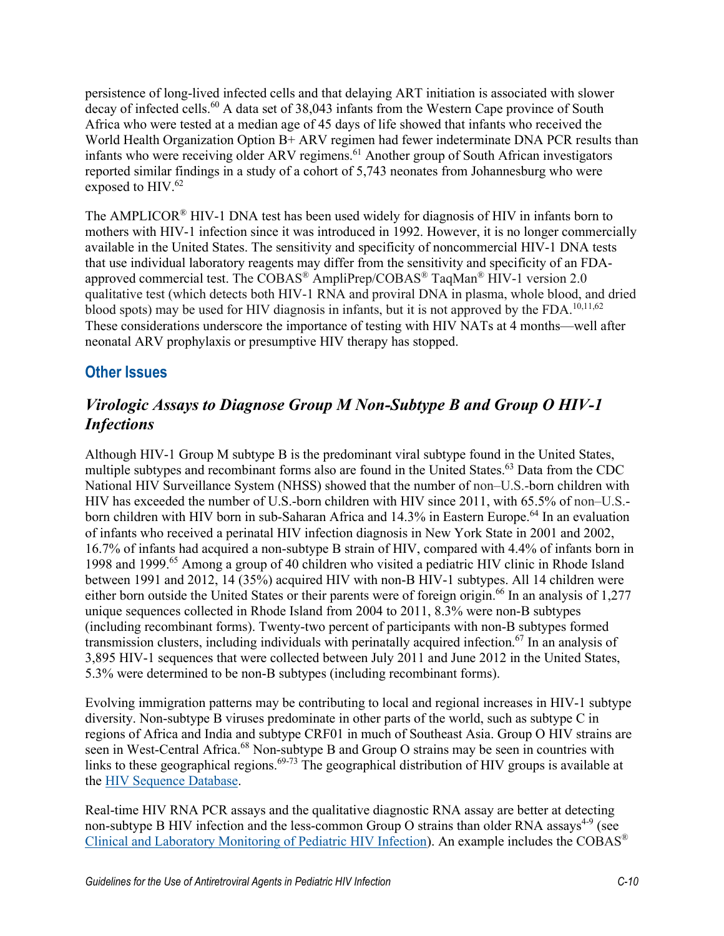persistence of long-lived infected cells and that delaying ART initiation is associated with slower decay of infected cells.<sup>60</sup> A data set of 38,043 infants from the Western Cape province of South Africa who were tested at a median age of 45 days of life showed that infants who received the World Health Organization Option B+ ARV regimen had fewer indeterminate DNA PCR results than infants who were receiving older ARV regimens.<sup>61</sup> Another group of South African investigators reported similar findings in a study of a cohort of 5,743 neonates from Johannesburg who were exposed to HIV. 62

The AMPLICOR® HIV-1 DNA test has been used widely for diagnosis of HIV in infants born to mothers with HIV-1 infection since it was introduced in 1992. However, it is no longer commercially available in the United States. The sensitivity and specificity of noncommercial HIV-1 DNA tests that use individual laboratory reagents may differ from the sensitivity and specificity of an FDAapproved commercial test. The COBAS® AmpliPrep/COBAS® TaqMan® HIV-1 version 2.0 qualitative test (which detects both HIV-1 RNA and proviral DNA in plasma, whole blood, and dried blood spots) may be used for HIV diagnosis in infants, but it is not approved by the FDA.<sup>10,11,62</sup> These considerations underscore the importance of testing with HIV NATs at 4 months—well after neonatal ARV prophylaxis or presumptive HIV therapy has stopped.

#### **Other Issues**

# *Virologic Assays to Diagnose Group M Non-Subtype B and Group O HIV-1 Infections*

Although HIV-1 Group M subtype B is the predominant viral subtype found in the United States, multiple subtypes and recombinant forms also are found in the United States.<sup>63</sup> Data from the CDC National HIV Surveillance System (NHSS) showed that the number of non–U.S.-born children with HIV has exceeded the number of U.S.-born children with HIV since 2011, with 65.5% of non–U.S. born children with HIV born in sub-Saharan Africa and 14.3% in Eastern Europe.<sup>64</sup> In an evaluation of infants who received a perinatal HIV infection diagnosis in New York State in 2001 and 2002, 16.7% of infants had acquired a non-subtype B strain of HIV, compared with 4.4% of infants born in 1998 and 1999.65 Among a group of 40 children who visited a pediatric HIV clinic in Rhode Island between 1991 and 2012, 14 (35%) acquired HIV with non-B HIV-1 subtypes. All 14 children were either born outside the United States or their parents were of foreign origin.<sup>66</sup> In an analysis of 1,277 unique sequences collected in Rhode Island from 2004 to 2011, 8.3% were non-B subtypes (including recombinant forms). Twenty-two percent of participants with non-B subtypes formed transmission clusters, including individuals with perinatally acquired infection. <sup>67</sup> In an analysis of 3,895 HIV-1 sequences that were collected between July 2011 and June 2012 in the United States, 5.3% were determined to be non-B subtypes (including recombinant forms).

Evolving immigration patterns may be contributing to local and regional increases in HIV-1 subtype diversity. Non-subtype B viruses predominate in other parts of the world, such as subtype C in regions of Africa and India and subtype CRF01 in much of Southeast Asia. Group O HIV strains are seen in West-Central Africa.<sup>68</sup> Non-subtype B and Group O strains may be seen in countries with links to these geographical regions.<sup>69-73</sup> The geographical distribution of HIV groups is available at the [HIV Sequence Database.](http://www.hiv.lanl.gov/components/sequence/HIV/geo/geo.comp)

Real-time HIV RNA PCR assays and the qualitative diagnostic RNA assay are better at detecting non-subtype B HIV infection and the less-common Group O strains than older RNA assays<sup>4-9</sup> (see [Clinical and Laboratory Monitoring of Pediatric HIV Infection\)](https://clinicalinfo.hiv.gov/en/guidelines/pediatric-arv/clinical-and-laboratory-monitoring-pediatric-hiv-infection). An example includes the COBAS®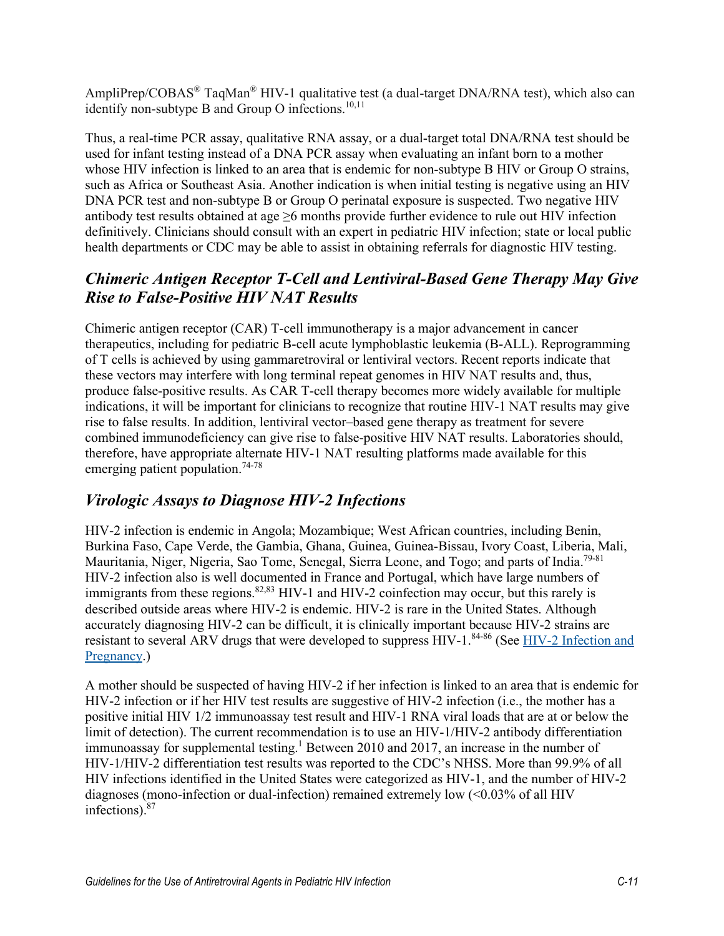AmpliPrep/COBAS<sup>®</sup> TaqMan<sup>®</sup> HIV-1 qualitative test (a dual-target DNA/RNA test), which also can identify non-subtype B and Group O infections.<sup>10,11</sup>

Thus, a real-time PCR assay, qualitative RNA assay, or a dual-target total DNA/RNA test should be used for infant testing instead of a DNA PCR assay when evaluating an infant born to a mother whose HIV infection is linked to an area that is endemic for non-subtype B HIV or Group O strains, such as Africa or Southeast Asia. Another indication is when initial testing is negative using an HIV DNA PCR test and non-subtype B or Group O perinatal exposure is suspected. Two negative HIV antibody test results obtained at age  $\geq$ 6 months provide further evidence to rule out HIV infection definitively. Clinicians should consult with an expert in pediatric HIV infection; state or local public health departments or CDC may be able to assist in obtaining referrals for diagnostic HIV testing.

# *Chimeric Antigen Receptor T-Cell and Lentiviral-Based Gene Therapy May Give Rise to False-Positive HIV NAT Results*

Chimeric antigen receptor (CAR) T-cell immunotherapy is a major advancement in cancer therapeutics, including for pediatric B-cell acute lymphoblastic leukemia (B-ALL). Reprogramming of T cells is achieved by using gammaretroviral or lentiviral vectors. Recent reports indicate that these vectors may interfere with long terminal repeat genomes in HIV NAT results and, thus, produce false-positive results. As CAR T-cell therapy becomes more widely available for multiple indications, it will be important for clinicians to recognize that routine HIV-1 NAT results may give rise to false results. In addition, lentiviral vector–based gene therapy as treatment for severe combined immunodeficiency can give rise to false-positive HIV NAT results. Laboratories should, therefore, have appropriate alternate HIV-1 NAT resulting platforms made available for this emerging patient population.<sup>74-78</sup>

# *Virologic Assays to Diagnose HIV-2 Infections*

HIV-2 infection is endemic in Angola; Mozambique; West African countries, including Benin, Burkina Faso, Cape Verde, the Gambia, Ghana, Guinea, Guinea-Bissau, Ivory Coast, Liberia, Mali, Mauritania, Niger, Nigeria, Sao Tome, Senegal, Sierra Leone, and Togo; and parts of India.79-81 HIV-2 infection also is well documented in France and Portugal, which have large numbers of immigrants from these regions.  $82,83$  HIV-1 and HIV-2 coinfection may occur, but this rarely is described outside areas where HIV-2 is endemic. HIV-2 is rare in the United States. Although accurately diagnosing HIV-2 can be difficult, it is clinically important because HIV-2 strains are resistant to several ARV drugs that were developed to suppress HIV-1.84-86 (See [HIV-2 Infection and](https://clinicalinfo.hiv.gov/en/guidelines/perinatal/hiv-2-infection-and-pregnancy?view=full)  [Pregnancy.](https://clinicalinfo.hiv.gov/en/guidelines/perinatal/hiv-2-infection-and-pregnancy?view=full))

A mother should be suspected of having HIV-2 if her infection is linked to an area that is endemic for HIV-2 infection or if her HIV test results are suggestive of HIV-2 infection (i.e., the mother has a positive initial HIV 1/2 immunoassay test result and HIV-1 RNA viral loads that are at or below the limit of detection). The current recommendation is to use an HIV-1/HIV-2 antibody differentiation immunoassay for supplemental testing.<sup>1</sup> Between 2010 and 2017, an increase in the number of HIV-1/HIV-2 differentiation test results was reported to the CDC's NHSS. More than 99.9% of all HIV infections identified in the United States were categorized as HIV-1, and the number of HIV-2 diagnoses (mono-infection or dual-infection) remained extremely low (<0.03% of all HIV infections).87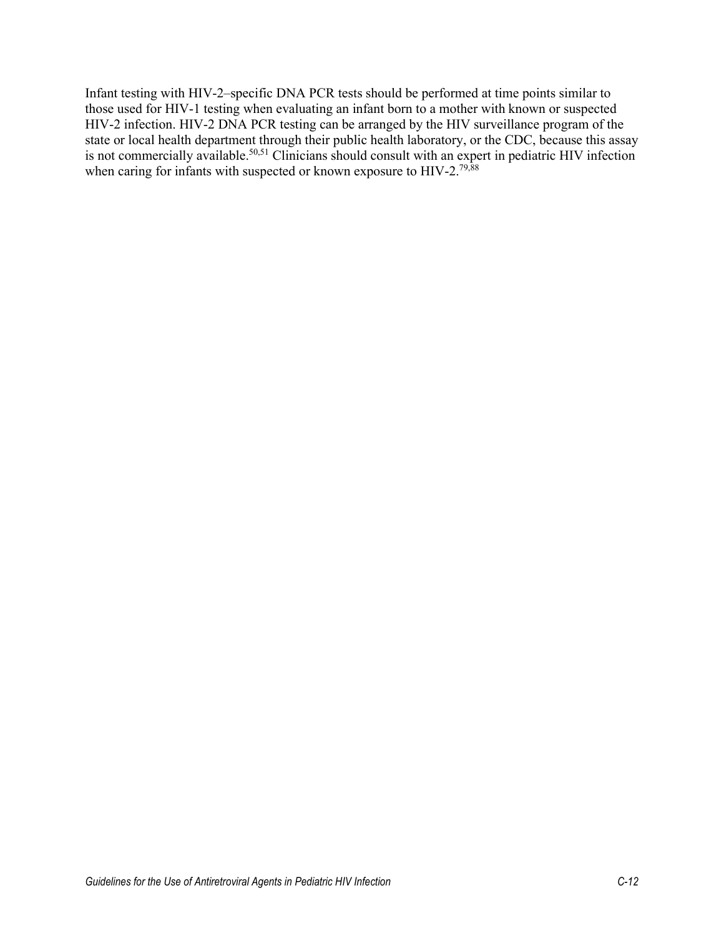Infant testing with HIV-2–specific DNA PCR tests should be performed at time points similar to those used for HIV-1 testing when evaluating an infant born to a mother with known or suspected HIV-2 infection. HIV-2 DNA PCR testing can be arranged by the HIV surveillance program of the state or local health department through their public health laboratory, or the CDC, because this assay is not commercially available.<sup>50,51</sup> Clinicians should consult with an expert in pediatric HIV infection when caring for infants with suspected or known exposure to HIV-2.<sup>79,88</sup>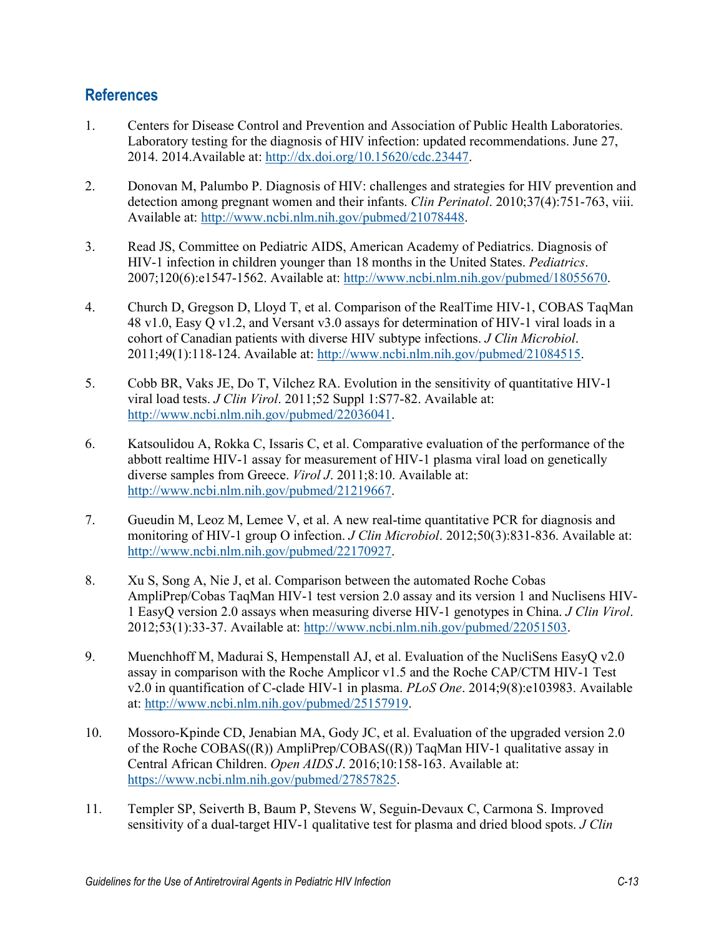#### **References**

- 1. Centers for Disease Control and Prevention and Association of Public Health Laboratories. Laboratory testing for the diagnosis of HIV infection: updated recommendations. June 27, 2014. 2014.Available at: [http://dx.doi.org/10.15620/cdc.23447.](http://dx.doi.org/10.15620/cdc.23447)
- 2. Donovan M, Palumbo P. Diagnosis of HIV: challenges and strategies for HIV prevention and detection among pregnant women and their infants. *Clin Perinatol*. 2010;37(4):751-763, viii. Available at: [http://www.ncbi.nlm.nih.gov/pubmed/21078448.](http://www.ncbi.nlm.nih.gov/pubmed/21078448)
- 3. Read JS, Committee on Pediatric AIDS, American Academy of Pediatrics. Diagnosis of HIV-1 infection in children younger than 18 months in the United States. *Pediatrics*. 2007;120(6):e1547-1562. Available at: [http://www.ncbi.nlm.nih.gov/pubmed/18055670.](http://www.ncbi.nlm.nih.gov/pubmed/18055670)
- 4. Church D, Gregson D, Lloyd T, et al. Comparison of the RealTime HIV-1, COBAS TaqMan 48 v1.0, Easy Q v1.2, and Versant v3.0 assays for determination of HIV-1 viral loads in a cohort of Canadian patients with diverse HIV subtype infections. *J Clin Microbiol*. 2011;49(1):118-124. Available at: [http://www.ncbi.nlm.nih.gov/pubmed/21084515.](http://www.ncbi.nlm.nih.gov/pubmed/21084515)
- 5. Cobb BR, Vaks JE, Do T, Vilchez RA. Evolution in the sensitivity of quantitative HIV-1 viral load tests. *J Clin Virol*. 2011;52 Suppl 1:S77-82. Available at: [http://www.ncbi.nlm.nih.gov/pubmed/22036041.](http://www.ncbi.nlm.nih.gov/pubmed/22036041)
- 6. Katsoulidou A, Rokka C, Issaris C, et al. Comparative evaluation of the performance of the abbott realtime HIV-1 assay for measurement of HIV-1 plasma viral load on genetically diverse samples from Greece. *Virol J*. 2011;8:10. Available at: [http://www.ncbi.nlm.nih.gov/pubmed/21219667.](http://www.ncbi.nlm.nih.gov/pubmed/21219667)
- 7. Gueudin M, Leoz M, Lemee V, et al. A new real-time quantitative PCR for diagnosis and monitoring of HIV-1 group O infection. *J Clin Microbiol*. 2012;50(3):831-836. Available at: [http://www.ncbi.nlm.nih.gov/pubmed/22170927.](http://www.ncbi.nlm.nih.gov/pubmed/22170927)
- 8. Xu S, Song A, Nie J, et al. Comparison between the automated Roche Cobas AmpliPrep/Cobas TaqMan HIV-1 test version 2.0 assay and its version 1 and Nuclisens HIV-1 EasyQ version 2.0 assays when measuring diverse HIV-1 genotypes in China. *J Clin Virol*. 2012;53(1):33-37. Available at: [http://www.ncbi.nlm.nih.gov/pubmed/22051503.](http://www.ncbi.nlm.nih.gov/pubmed/22051503)
- 9. Muenchhoff M, Madurai S, Hempenstall AJ, et al. Evaluation of the NucliSens EasyQ v2.0 assay in comparison with the Roche Amplicor v1.5 and the Roche CAP/CTM HIV-1 Test v2.0 in quantification of C-clade HIV-1 in plasma. *PLoS One*. 2014;9(8):e103983. Available at: [http://www.ncbi.nlm.nih.gov/pubmed/25157919.](http://www.ncbi.nlm.nih.gov/pubmed/25157919)
- 10. Mossoro-Kpinde CD, Jenabian MA, Gody JC, et al. Evaluation of the upgraded version 2.0 of the Roche COBAS((R)) AmpliPrep/COBAS((R)) TaqMan HIV-1 qualitative assay in Central African Children. *Open AIDS J*. 2016;10:158-163. Available at: [https://www.ncbi.nlm.nih.gov/pubmed/27857825.](https://www.ncbi.nlm.nih.gov/pubmed/27857825)
- 11. Templer SP, Seiverth B, Baum P, Stevens W, Seguin-Devaux C, Carmona S. Improved sensitivity of a dual-target HIV-1 qualitative test for plasma and dried blood spots. *J Clin*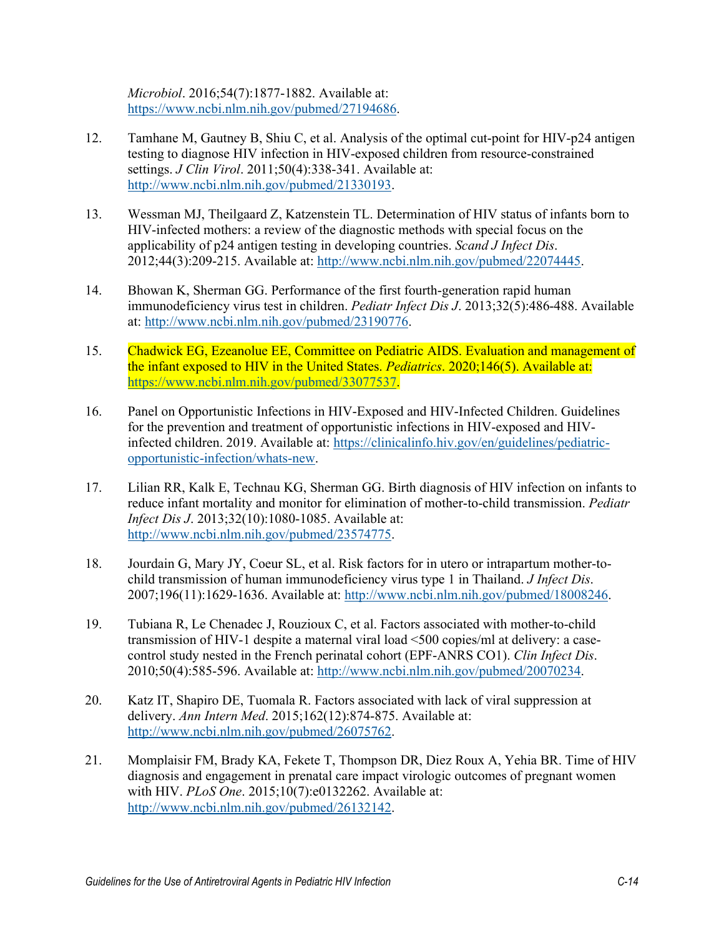*Microbiol*. 2016;54(7):1877-1882. Available at: [https://www.ncbi.nlm.nih.gov/pubmed/27194686.](https://www.ncbi.nlm.nih.gov/pubmed/27194686)

- 12. Tamhane M, Gautney B, Shiu C, et al. Analysis of the optimal cut-point for HIV-p24 antigen testing to diagnose HIV infection in HIV-exposed children from resource-constrained settings. *J Clin Virol*. 2011;50(4):338-341. Available at: [http://www.ncbi.nlm.nih.gov/pubmed/21330193.](http://www.ncbi.nlm.nih.gov/pubmed/21330193)
- 13. Wessman MJ, Theilgaard Z, Katzenstein TL. Determination of HIV status of infants born to HIV-infected mothers: a review of the diagnostic methods with special focus on the applicability of p24 antigen testing in developing countries. *Scand J Infect Dis*. 2012;44(3):209-215. Available at: [http://www.ncbi.nlm.nih.gov/pubmed/22074445.](http://www.ncbi.nlm.nih.gov/pubmed/22074445)
- 14. Bhowan K, Sherman GG. Performance of the first fourth-generation rapid human immunodeficiency virus test in children. *Pediatr Infect Dis J*. 2013;32(5):486-488. Available at: [http://www.ncbi.nlm.nih.gov/pubmed/23190776.](http://www.ncbi.nlm.nih.gov/pubmed/23190776)
- 15. Chadwick EG, Ezeanolue EE, Committee on Pediatric AIDS. Evaluation and management of the infant exposed to HIV in the United States. *Pediatrics*. 2020;146(5). Available at: [https://www.ncbi.nlm.nih.gov/pubmed/33077537.](https://www.ncbi.nlm.nih.gov/pubmed/33077537)
- 16. Panel on Opportunistic Infections in HIV-Exposed and HIV-Infected Children. Guidelines for the prevention and treatment of opportunistic infections in HIV-exposed and HIVinfected children. 2019. Available at: [https://clinicalinfo.hiv.gov/en/guidelines/pediatric](https://clinicalinfo.hiv.gov/en/guidelines/pediatric-opportunistic-infection/whats-new)[opportunistic-infection/whats-new.](https://clinicalinfo.hiv.gov/en/guidelines/pediatric-opportunistic-infection/whats-new)
- 17. Lilian RR, Kalk E, Technau KG, Sherman GG. Birth diagnosis of HIV infection on infants to reduce infant mortality and monitor for elimination of mother-to-child transmission. *Pediatr Infect Dis J*. 2013;32(10):1080-1085. Available at: [http://www.ncbi.nlm.nih.gov/pubmed/23574775.](http://www.ncbi.nlm.nih.gov/pubmed/23574775)
- 18. Jourdain G, Mary JY, Coeur SL, et al. Risk factors for in utero or intrapartum mother-tochild transmission of human immunodeficiency virus type 1 in Thailand. *J Infect Dis*. 2007;196(11):1629-1636. Available at: [http://www.ncbi.nlm.nih.gov/pubmed/18008246.](http://www.ncbi.nlm.nih.gov/pubmed/18008246)
- 19. Tubiana R, Le Chenadec J, Rouzioux C, et al. Factors associated with mother-to-child transmission of HIV-1 despite a maternal viral load <500 copies/ml at delivery: a casecontrol study nested in the French perinatal cohort (EPF-ANRS CO1). *Clin Infect Dis*. 2010;50(4):585-596. Available at: [http://www.ncbi.nlm.nih.gov/pubmed/20070234.](http://www.ncbi.nlm.nih.gov/pubmed/20070234)
- 20. Katz IT, Shapiro DE, Tuomala R. Factors associated with lack of viral suppression at delivery. *Ann Intern Med*. 2015;162(12):874-875. Available at: [http://www.ncbi.nlm.nih.gov/pubmed/26075762.](http://www.ncbi.nlm.nih.gov/pubmed/26075762)
- 21. Momplaisir FM, Brady KA, Fekete T, Thompson DR, Diez Roux A, Yehia BR. Time of HIV diagnosis and engagement in prenatal care impact virologic outcomes of pregnant women with HIV. *PLoS One*. 2015;10(7):e0132262. Available at: [http://www.ncbi.nlm.nih.gov/pubmed/26132142.](http://www.ncbi.nlm.nih.gov/pubmed/26132142)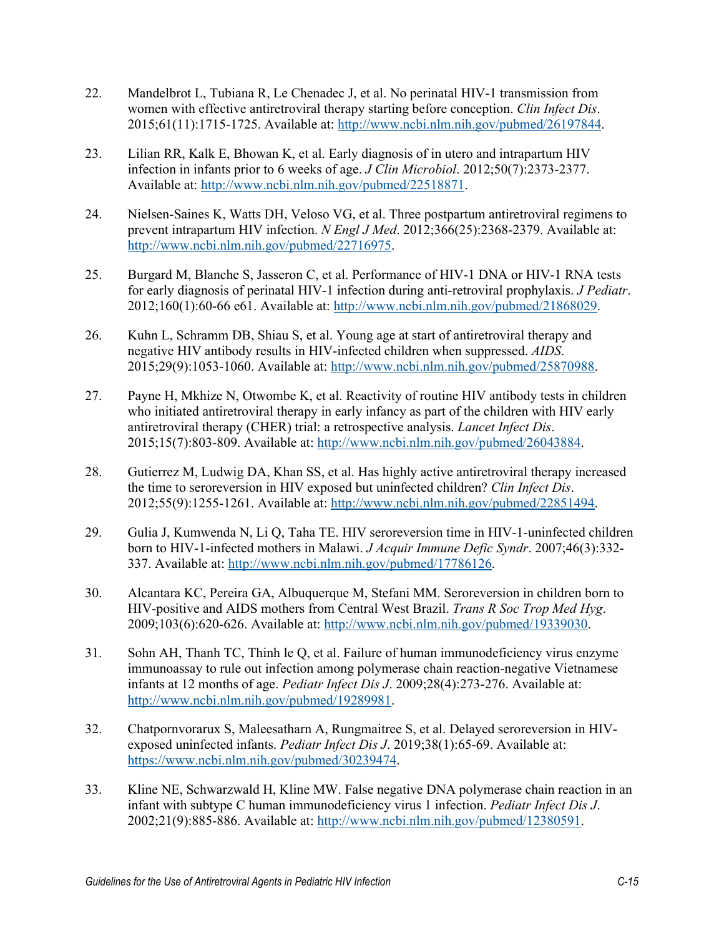- 22. Mandelbrot L, Tubiana R, Le Chenadec J, et al. No perinatal HIV-1 transmission from women with effective antiretroviral therapy starting before conception. *Clin Infect Dis*. 2015;61(11):1715-1725. Available at: [http://www.ncbi.nlm.nih.gov/pubmed/26197844.](http://www.ncbi.nlm.nih.gov/pubmed/26197844)
- 23. Lilian RR, Kalk E, Bhowan K, et al. Early diagnosis of in utero and intrapartum HIV infection in infants prior to 6 weeks of age. *J Clin Microbiol*. 2012;50(7):2373-2377. Available at: [http://www.ncbi.nlm.nih.gov/pubmed/22518871.](http://www.ncbi.nlm.nih.gov/pubmed/22518871)
- 24. Nielsen-Saines K, Watts DH, Veloso VG, et al. Three postpartum antiretroviral regimens to prevent intrapartum HIV infection. *N Engl J Med*. 2012;366(25):2368-2379. Available at: [http://www.ncbi.nlm.nih.gov/pubmed/22716975.](http://www.ncbi.nlm.nih.gov/pubmed/22716975)
- 25. Burgard M, Blanche S, Jasseron C, et al. Performance of HIV-1 DNA or HIV-1 RNA tests for early diagnosis of perinatal HIV-1 infection during anti-retroviral prophylaxis. *J Pediatr*. 2012;160(1):60-66 e61. Available at: [http://www.ncbi.nlm.nih.gov/pubmed/21868029.](http://www.ncbi.nlm.nih.gov/pubmed/21868029)
- 26. Kuhn L, Schramm DB, Shiau S, et al. Young age at start of antiretroviral therapy and negative HIV antibody results in HIV-infected children when suppressed. *AIDS*. 2015;29(9):1053-1060. Available at: [http://www.ncbi.nlm.nih.gov/pubmed/25870988.](http://www.ncbi.nlm.nih.gov/pubmed/25870988)
- 27. Payne H, Mkhize N, Otwombe K, et al. Reactivity of routine HIV antibody tests in children who initiated antiretroviral therapy in early infancy as part of the children with HIV early antiretroviral therapy (CHER) trial: a retrospective analysis. *Lancet Infect Dis*. 2015;15(7):803-809. Available at: [http://www.ncbi.nlm.nih.gov/pubmed/26043884.](http://www.ncbi.nlm.nih.gov/pubmed/26043884)
- 28. Gutierrez M, Ludwig DA, Khan SS, et al. Has highly active antiretroviral therapy increased the time to seroreversion in HIV exposed but uninfected children? *Clin Infect Dis*. 2012;55(9):1255-1261. Available at: [http://www.ncbi.nlm.nih.gov/pubmed/22851494.](http://www.ncbi.nlm.nih.gov/pubmed/22851494)
- 29. Gulia J, Kumwenda N, Li Q, Taha TE. HIV seroreversion time in HIV-1-uninfected children born to HIV-1-infected mothers in Malawi. *J Acquir Immune Defic Syndr*. 2007;46(3):332- 337. Available at: [http://www.ncbi.nlm.nih.gov/pubmed/17786126.](http://www.ncbi.nlm.nih.gov/pubmed/17786126)
- 30. Alcantara KC, Pereira GA, Albuquerque M, Stefani MM. Seroreversion in children born to HIV-positive and AIDS mothers from Central West Brazil. *Trans R Soc Trop Med Hyg*. 2009;103(6):620-626. Available at: [http://www.ncbi.nlm.nih.gov/pubmed/19339030.](http://www.ncbi.nlm.nih.gov/pubmed/19339030)
- 31. Sohn AH, Thanh TC, Thinh le Q, et al. Failure of human immunodeficiency virus enzyme immunoassay to rule out infection among polymerase chain reaction-negative Vietnamese infants at 12 months of age. *Pediatr Infect Dis J*. 2009;28(4):273-276. Available at: [http://www.ncbi.nlm.nih.gov/pubmed/19289981.](http://www.ncbi.nlm.nih.gov/pubmed/19289981)
- 32. Chatpornvorarux S, Maleesatharn A, Rungmaitree S, et al. Delayed seroreversion in HIVexposed uninfected infants. *Pediatr Infect Dis J*. 2019;38(1):65-69. Available at: [https://www.ncbi.nlm.nih.gov/pubmed/30239474.](https://www.ncbi.nlm.nih.gov/pubmed/30239474)
- 33. Kline NE, Schwarzwald H, Kline MW. False negative DNA polymerase chain reaction in an infant with subtype C human immunodeficiency virus 1 infection. *Pediatr Infect Dis J*. 2002;21(9):885-886. Available at: [http://www.ncbi.nlm.nih.gov/pubmed/12380591.](http://www.ncbi.nlm.nih.gov/pubmed/12380591)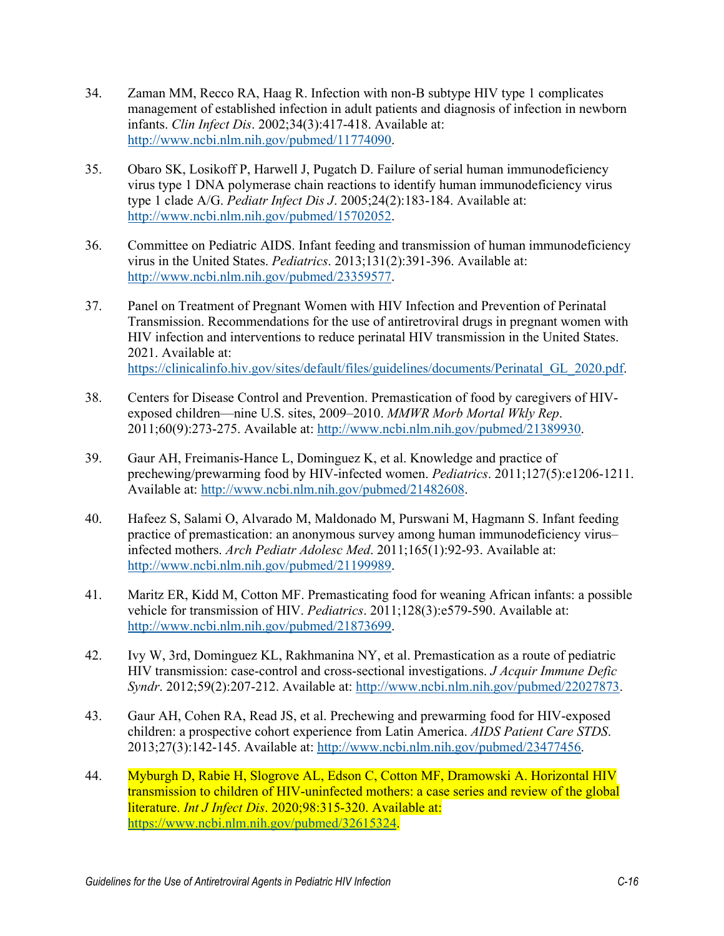- 34. Zaman MM, Recco RA, Haag R. Infection with non-B subtype HIV type 1 complicates management of established infection in adult patients and diagnosis of infection in newborn infants. *Clin Infect Dis*. 2002;34(3):417-418. Available at: [http://www.ncbi.nlm.nih.gov/pubmed/11774090.](http://www.ncbi.nlm.nih.gov/pubmed/11774090)
- 35. Obaro SK, Losikoff P, Harwell J, Pugatch D. Failure of serial human immunodeficiency virus type 1 DNA polymerase chain reactions to identify human immunodeficiency virus type 1 clade A/G. *Pediatr Infect Dis J*. 2005;24(2):183-184. Available at: [http://www.ncbi.nlm.nih.gov/pubmed/15702052.](http://www.ncbi.nlm.nih.gov/pubmed/15702052)
- 36. Committee on Pediatric AIDS. Infant feeding and transmission of human immunodeficiency virus in the United States. *Pediatrics*. 2013;131(2):391-396. Available at: [http://www.ncbi.nlm.nih.gov/pubmed/23359577.](http://www.ncbi.nlm.nih.gov/pubmed/23359577)
- 37. Panel on Treatment of Pregnant Women with HIV Infection and Prevention of Perinatal Transmission. Recommendations for the use of antiretroviral drugs in pregnant women with HIV infection and interventions to reduce perinatal HIV transmission in the United States. 2021. Available at: [https://clinicalinfo.hiv.gov/sites/default/files/guidelines/documents/Perinatal\\_GL\\_2020.pdf.](https://clinicalinfo.hiv.gov/sites/default/files/guidelines/documents/Perinatal_GL_2020.pdf)
- 38. Centers for Disease Control and Prevention. Premastication of food by caregivers of HIVexposed children—nine U.S. sites, 2009–2010. *MMWR Morb Mortal Wkly Rep*. 2011;60(9):273-275. Available at: [http://www.ncbi.nlm.nih.gov/pubmed/21389930.](http://www.ncbi.nlm.nih.gov/pubmed/21389930)
- 39. Gaur AH, Freimanis-Hance L, Dominguez K, et al. Knowledge and practice of prechewing/prewarming food by HIV-infected women. *Pediatrics*. 2011;127(5):e1206-1211. Available at: [http://www.ncbi.nlm.nih.gov/pubmed/21482608.](http://www.ncbi.nlm.nih.gov/pubmed/21482608)
- 40. Hafeez S, Salami O, Alvarado M, Maldonado M, Purswani M, Hagmann S. Infant feeding practice of premastication: an anonymous survey among human immunodeficiency virus– infected mothers. *Arch Pediatr Adolesc Med*. 2011;165(1):92-93. Available at: [http://www.ncbi.nlm.nih.gov/pubmed/21199989.](http://www.ncbi.nlm.nih.gov/pubmed/21199989)
- 41. Maritz ER, Kidd M, Cotton MF. Premasticating food for weaning African infants: a possible vehicle for transmission of HIV. *Pediatrics*. 2011;128(3):e579-590. Available at: [http://www.ncbi.nlm.nih.gov/pubmed/21873699.](http://www.ncbi.nlm.nih.gov/pubmed/21873699)
- 42. Ivy W, 3rd, Dominguez KL, Rakhmanina NY, et al. Premastication as a route of pediatric HIV transmission: case-control and cross-sectional investigations. *J Acquir Immune Defic Syndr*. 2012;59(2):207-212. Available at: [http://www.ncbi.nlm.nih.gov/pubmed/22027873.](http://www.ncbi.nlm.nih.gov/pubmed/22027873)
- 43. Gaur AH, Cohen RA, Read JS, et al. Prechewing and prewarming food for HIV-exposed children: a prospective cohort experience from Latin America. *AIDS Patient Care STDS*. 2013;27(3):142-145. Available at: [http://www.ncbi.nlm.nih.gov/pubmed/23477456.](http://www.ncbi.nlm.nih.gov/pubmed/23477456)
- 44. Myburgh D, Rabie H, Slogrove AL, Edson C, Cotton MF, Dramowski A. Horizontal HIV transmission to children of HIV-uninfected mothers: a case series and review of the global literature. *Int J Infect Dis*. 2020;98:315-320. Available at: [https://www.ncbi.nlm.nih.gov/pubmed/32615324.](https://www.ncbi.nlm.nih.gov/pubmed/32615324)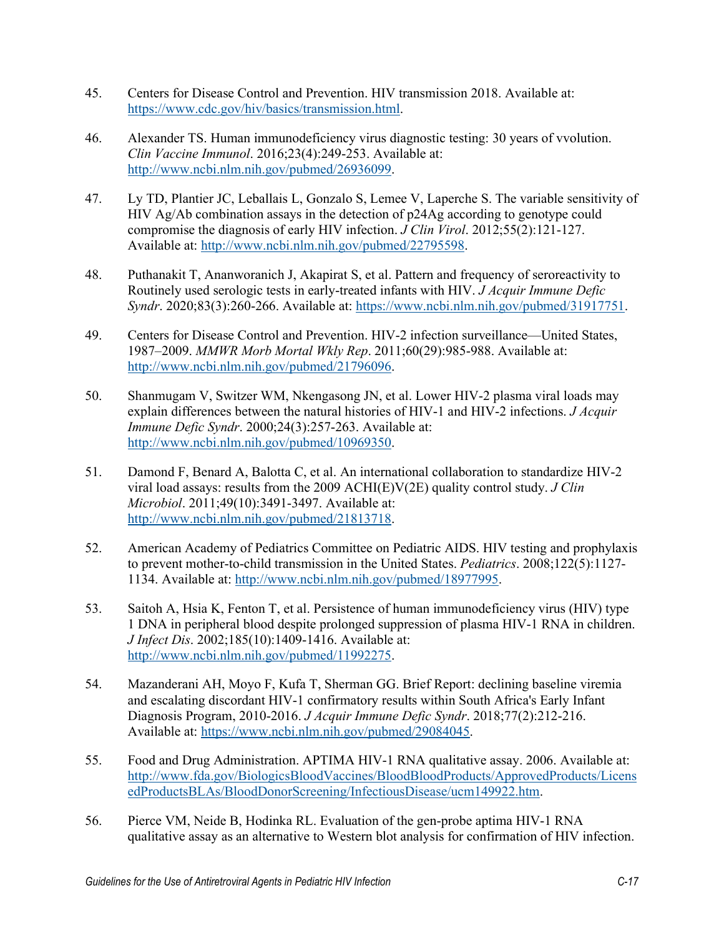- 45. Centers for Disease Control and Prevention. HIV transmission 2018. Available at: [https://www.cdc.gov/hiv/basics/transmission.html.](https://www.cdc.gov/hiv/basics/transmission.html)
- 46. Alexander TS. Human immunodeficiency virus diagnostic testing: 30 years of vvolution. *Clin Vaccine Immunol*. 2016;23(4):249-253. Available at: [http://www.ncbi.nlm.nih.gov/pubmed/26936099.](http://www.ncbi.nlm.nih.gov/pubmed/26936099)
- 47. Ly TD, Plantier JC, Leballais L, Gonzalo S, Lemee V, Laperche S. The variable sensitivity of HIV Ag/Ab combination assays in the detection of p24Ag according to genotype could compromise the diagnosis of early HIV infection. *J Clin Virol*. 2012;55(2):121-127. Available at: [http://www.ncbi.nlm.nih.gov/pubmed/22795598.](http://www.ncbi.nlm.nih.gov/pubmed/22795598)
- 48. Puthanakit T, Ananworanich J, Akapirat S, et al. Pattern and frequency of seroreactivity to Routinely used serologic tests in early-treated infants with HIV. *J Acquir Immune Defic Syndr*. 2020;83(3):260-266. Available at: [https://www.ncbi.nlm.nih.gov/pubmed/31917751.](https://www.ncbi.nlm.nih.gov/pubmed/31917751)
- 49. Centers for Disease Control and Prevention. HIV-2 infection surveillance—United States, 1987–2009. *MMWR Morb Mortal Wkly Rep*. 2011;60(29):985-988. Available at: [http://www.ncbi.nlm.nih.gov/pubmed/21796096.](http://www.ncbi.nlm.nih.gov/pubmed/21796096)
- 50. Shanmugam V, Switzer WM, Nkengasong JN, et al. Lower HIV-2 plasma viral loads may explain differences between the natural histories of HIV-1 and HIV-2 infections. *J Acquir Immune Defic Syndr*. 2000;24(3):257-263. Available at: [http://www.ncbi.nlm.nih.gov/pubmed/10969350.](http://www.ncbi.nlm.nih.gov/pubmed/10969350)
- 51. Damond F, Benard A, Balotta C, et al. An international collaboration to standardize HIV-2 viral load assays: results from the 2009 ACHI(E)V(2E) quality control study. *J Clin Microbiol*. 2011;49(10):3491-3497. Available at: [http://www.ncbi.nlm.nih.gov/pubmed/21813718.](http://www.ncbi.nlm.nih.gov/pubmed/21813718)
- 52. American Academy of Pediatrics Committee on Pediatric AIDS. HIV testing and prophylaxis to prevent mother-to-child transmission in the United States. *Pediatrics*. 2008;122(5):1127- 1134. Available at: [http://www.ncbi.nlm.nih.gov/pubmed/18977995.](http://www.ncbi.nlm.nih.gov/pubmed/18977995)
- 53. Saitoh A, Hsia K, Fenton T, et al. Persistence of human immunodeficiency virus (HIV) type 1 DNA in peripheral blood despite prolonged suppression of plasma HIV-1 RNA in children. *J Infect Dis*. 2002;185(10):1409-1416. Available at: [http://www.ncbi.nlm.nih.gov/pubmed/11992275.](http://www.ncbi.nlm.nih.gov/pubmed/11992275)
- 54. Mazanderani AH, Moyo F, Kufa T, Sherman GG. Brief Report: declining baseline viremia and escalating discordant HIV-1 confirmatory results within South Africa's Early Infant Diagnosis Program, 2010-2016. *J Acquir Immune Defic Syndr*. 2018;77(2):212-216. Available at: [https://www.ncbi.nlm.nih.gov/pubmed/29084045.](https://www.ncbi.nlm.nih.gov/pubmed/29084045)
- 55. Food and Drug Administration. APTIMA HIV-1 RNA qualitative assay. 2006. Available at: [http://www.fda.gov/BiologicsBloodVaccines/BloodBloodProducts/ApprovedProducts/Licens](http://www.fda.gov/BiologicsBloodVaccines/BloodBloodProducts/ApprovedProducts/LicensedProductsBLAs/BloodDonorScreening/InfectiousDisease/ucm149922.htm) [edProductsBLAs/BloodDonorScreening/InfectiousDisease/ucm149922.htm.](http://www.fda.gov/BiologicsBloodVaccines/BloodBloodProducts/ApprovedProducts/LicensedProductsBLAs/BloodDonorScreening/InfectiousDisease/ucm149922.htm)
- 56. Pierce VM, Neide B, Hodinka RL. Evaluation of the gen-probe aptima HIV-1 RNA qualitative assay as an alternative to Western blot analysis for confirmation of HIV infection.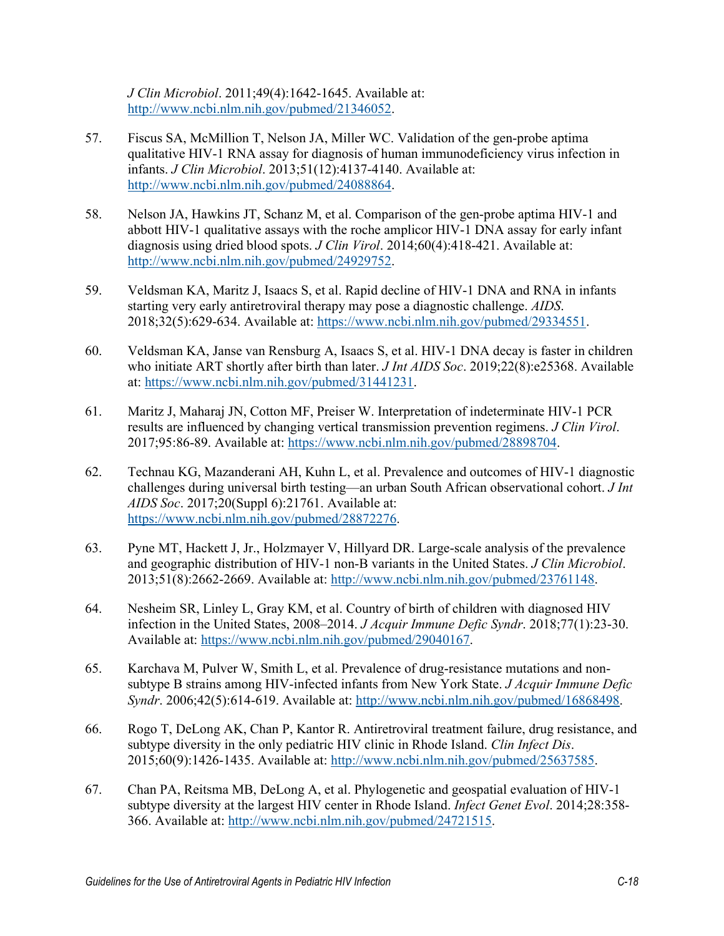*J Clin Microbiol*. 2011;49(4):1642-1645. Available at: [http://www.ncbi.nlm.nih.gov/pubmed/21346052.](http://www.ncbi.nlm.nih.gov/pubmed/21346052)

- 57. Fiscus SA, McMillion T, Nelson JA, Miller WC. Validation of the gen-probe aptima qualitative HIV-1 RNA assay for diagnosis of human immunodeficiency virus infection in infants. *J Clin Microbiol*. 2013;51(12):4137-4140. Available at: [http://www.ncbi.nlm.nih.gov/pubmed/24088864.](http://www.ncbi.nlm.nih.gov/pubmed/24088864)
- 58. Nelson JA, Hawkins JT, Schanz M, et al. Comparison of the gen-probe aptima HIV-1 and abbott HIV-1 qualitative assays with the roche amplicor HIV-1 DNA assay for early infant diagnosis using dried blood spots. *J Clin Virol*. 2014;60(4):418-421. Available at: [http://www.ncbi.nlm.nih.gov/pubmed/24929752.](http://www.ncbi.nlm.nih.gov/pubmed/24929752)
- 59. Veldsman KA, Maritz J, Isaacs S, et al. Rapid decline of HIV-1 DNA and RNA in infants starting very early antiretroviral therapy may pose a diagnostic challenge. *AIDS*. 2018;32(5):629-634. Available at: [https://www.ncbi.nlm.nih.gov/pubmed/29334551.](https://www.ncbi.nlm.nih.gov/pubmed/29334551)
- 60. Veldsman KA, Janse van Rensburg A, Isaacs S, et al. HIV-1 DNA decay is faster in children who initiate ART shortly after birth than later. *J Int AIDS Soc*. 2019;22(8):e25368. Available at: [https://www.ncbi.nlm.nih.gov/pubmed/31441231.](https://www.ncbi.nlm.nih.gov/pubmed/31441231)
- 61. Maritz J, Maharaj JN, Cotton MF, Preiser W. Interpretation of indeterminate HIV-1 PCR results are influenced by changing vertical transmission prevention regimens. *J Clin Virol*. 2017;95:86-89. Available at: [https://www.ncbi.nlm.nih.gov/pubmed/28898704.](https://www.ncbi.nlm.nih.gov/pubmed/28898704)
- 62. Technau KG, Mazanderani AH, Kuhn L, et al. Prevalence and outcomes of HIV-1 diagnostic challenges during universal birth testing—an urban South African observational cohort. *J Int AIDS Soc*. 2017;20(Suppl 6):21761. Available at: [https://www.ncbi.nlm.nih.gov/pubmed/28872276.](https://www.ncbi.nlm.nih.gov/pubmed/28872276)
- 63. Pyne MT, Hackett J, Jr., Holzmayer V, Hillyard DR. Large-scale analysis of the prevalence and geographic distribution of HIV-1 non-B variants in the United States. *J Clin Microbiol*. 2013;51(8):2662-2669. Available at: [http://www.ncbi.nlm.nih.gov/pubmed/23761148.](http://www.ncbi.nlm.nih.gov/pubmed/23761148)
- 64. Nesheim SR, Linley L, Gray KM, et al. Country of birth of children with diagnosed HIV infection in the United States, 2008–2014. *J Acquir Immune Defic Syndr*. 2018;77(1):23-30. Available at: [https://www.ncbi.nlm.nih.gov/pubmed/29040167.](https://www.ncbi.nlm.nih.gov/pubmed/29040167)
- 65. Karchava M, Pulver W, Smith L, et al. Prevalence of drug-resistance mutations and nonsubtype B strains among HIV-infected infants from New York State. *J Acquir Immune Defic Syndr*. 2006;42(5):614-619. Available at: [http://www.ncbi.nlm.nih.gov/pubmed/16868498.](http://www.ncbi.nlm.nih.gov/pubmed/16868498)
- 66. Rogo T, DeLong AK, Chan P, Kantor R. Antiretroviral treatment failure, drug resistance, and subtype diversity in the only pediatric HIV clinic in Rhode Island. *Clin Infect Dis*. 2015;60(9):1426-1435. Available at: [http://www.ncbi.nlm.nih.gov/pubmed/25637585.](http://www.ncbi.nlm.nih.gov/pubmed/25637585)
- 67. Chan PA, Reitsma MB, DeLong A, et al. Phylogenetic and geospatial evaluation of HIV-1 subtype diversity at the largest HIV center in Rhode Island. *Infect Genet Evol*. 2014;28:358- 366. Available at: [http://www.ncbi.nlm.nih.gov/pubmed/24721515.](http://www.ncbi.nlm.nih.gov/pubmed/24721515)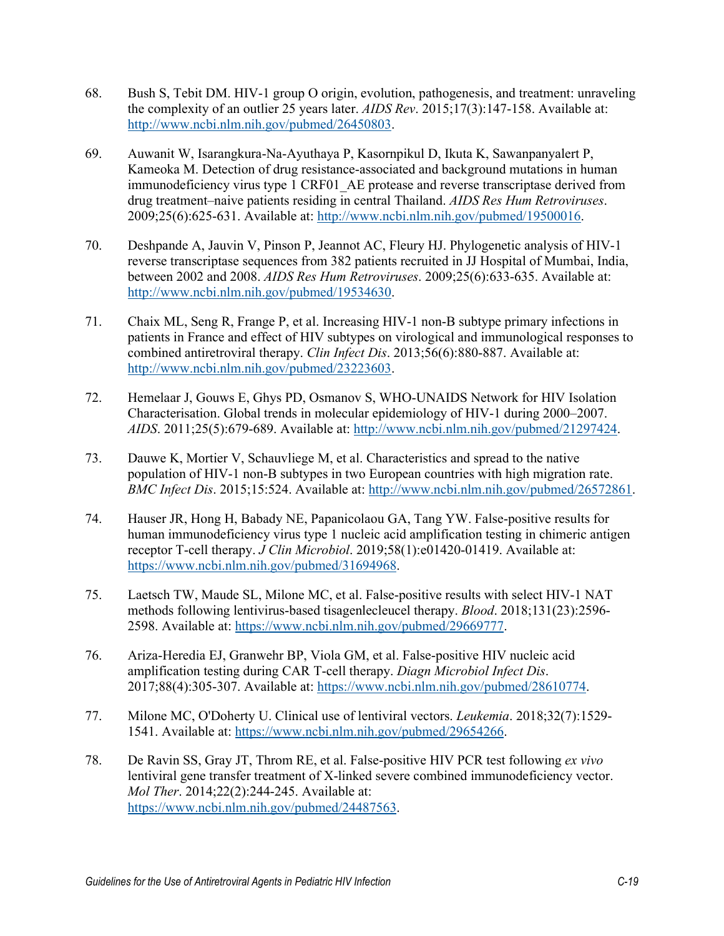- 68. Bush S, Tebit DM. HIV-1 group O origin, evolution, pathogenesis, and treatment: unraveling the complexity of an outlier 25 years later. *AIDS Rev*. 2015;17(3):147-158. Available at: [http://www.ncbi.nlm.nih.gov/pubmed/26450803.](http://www.ncbi.nlm.nih.gov/pubmed/26450803)
- 69. Auwanit W, Isarangkura-Na-Ayuthaya P, Kasornpikul D, Ikuta K, Sawanpanyalert P, Kameoka M. Detection of drug resistance-associated and background mutations in human immunodeficiency virus type 1 CRF01 AE protease and reverse transcriptase derived from drug treatment–naive patients residing in central Thailand. *AIDS Res Hum Retroviruses*. 2009;25(6):625-631. Available at: [http://www.ncbi.nlm.nih.gov/pubmed/19500016.](http://www.ncbi.nlm.nih.gov/pubmed/19500016)
- 70. Deshpande A, Jauvin V, Pinson P, Jeannot AC, Fleury HJ. Phylogenetic analysis of HIV-1 reverse transcriptase sequences from 382 patients recruited in JJ Hospital of Mumbai, India, between 2002 and 2008. *AIDS Res Hum Retroviruses*. 2009;25(6):633-635. Available at: [http://www.ncbi.nlm.nih.gov/pubmed/19534630.](http://www.ncbi.nlm.nih.gov/pubmed/19534630)
- 71. Chaix ML, Seng R, Frange P, et al. Increasing HIV-1 non-B subtype primary infections in patients in France and effect of HIV subtypes on virological and immunological responses to combined antiretroviral therapy. *Clin Infect Dis*. 2013;56(6):880-887. Available at: [http://www.ncbi.nlm.nih.gov/pubmed/23223603.](http://www.ncbi.nlm.nih.gov/pubmed/23223603)
- 72. Hemelaar J, Gouws E, Ghys PD, Osmanov S, WHO-UNAIDS Network for HIV Isolation Characterisation. Global trends in molecular epidemiology of HIV-1 during 2000–2007. *AIDS*. 2011;25(5):679-689. Available at: [http://www.ncbi.nlm.nih.gov/pubmed/21297424.](http://www.ncbi.nlm.nih.gov/pubmed/21297424)
- 73. Dauwe K, Mortier V, Schauvliege M, et al. Characteristics and spread to the native population of HIV-1 non-B subtypes in two European countries with high migration rate. *BMC Infect Dis*. 2015;15:524. Available at: [http://www.ncbi.nlm.nih.gov/pubmed/26572861.](http://www.ncbi.nlm.nih.gov/pubmed/26572861)
- 74. Hauser JR, Hong H, Babady NE, Papanicolaou GA, Tang YW. False-positive results for human immunodeficiency virus type 1 nucleic acid amplification testing in chimeric antigen receptor T-cell therapy. *J Clin Microbiol*. 2019;58(1):e01420-01419. Available at: [https://www.ncbi.nlm.nih.gov/pubmed/31694968.](https://www.ncbi.nlm.nih.gov/pubmed/31694968)
- 75. Laetsch TW, Maude SL, Milone MC, et al. False-positive results with select HIV-1 NAT methods following lentivirus-based tisagenlecleucel therapy. *Blood*. 2018;131(23):2596- 2598. Available at: [https://www.ncbi.nlm.nih.gov/pubmed/29669777.](https://www.ncbi.nlm.nih.gov/pubmed/29669777)
- 76. Ariza-Heredia EJ, Granwehr BP, Viola GM, et al. False-positive HIV nucleic acid amplification testing during CAR T-cell therapy. *Diagn Microbiol Infect Dis*. 2017;88(4):305-307. Available at: [https://www.ncbi.nlm.nih.gov/pubmed/28610774.](https://www.ncbi.nlm.nih.gov/pubmed/28610774)
- 77. Milone MC, O'Doherty U. Clinical use of lentiviral vectors. *Leukemia*. 2018;32(7):1529- 1541. Available at: [https://www.ncbi.nlm.nih.gov/pubmed/29654266.](https://www.ncbi.nlm.nih.gov/pubmed/29654266)
- 78. De Ravin SS, Gray JT, Throm RE, et al. False-positive HIV PCR test following *ex vivo*  lentiviral gene transfer treatment of X-linked severe combined immunodeficiency vector. *Mol Ther*. 2014;22(2):244-245. Available at: [https://www.ncbi.nlm.nih.gov/pubmed/24487563.](https://www.ncbi.nlm.nih.gov/pubmed/24487563)